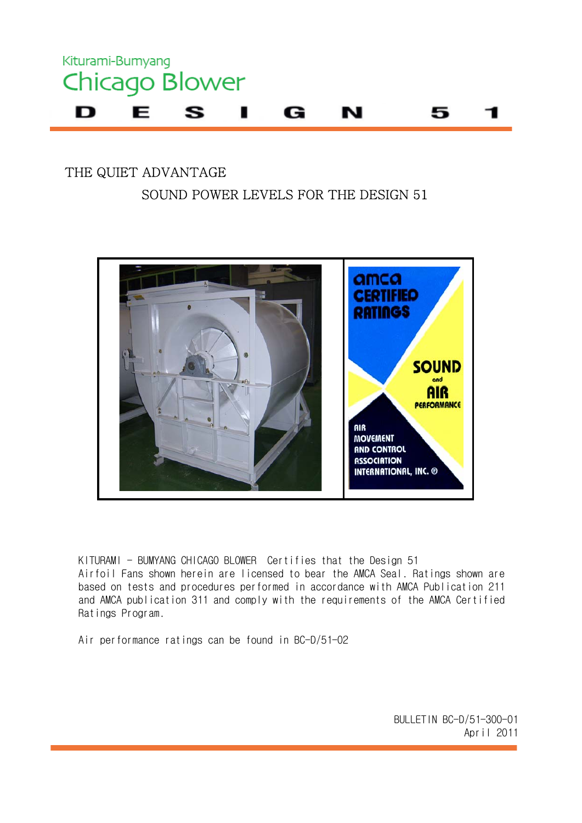

#### THE QUIET ADVANTAGE SOUND POWER LEVELS FOR THE DESIGN 51



KITURAMI - BUMYANG CHICAGO BLOWER Certifies that the Design 51 Airfoil Fans shown herein are licensed to bear the AMCA Seal. Ratings shown are based on tests and procedures performed in accordance with AMCA Publication 211 and AMCA publication 311 and comply with the requirements of the AMCA Certified Ratings Program.

Air performance ratings can be found in BC-D/51-02

 BULLETIN BC-D/51-300-01 April 2011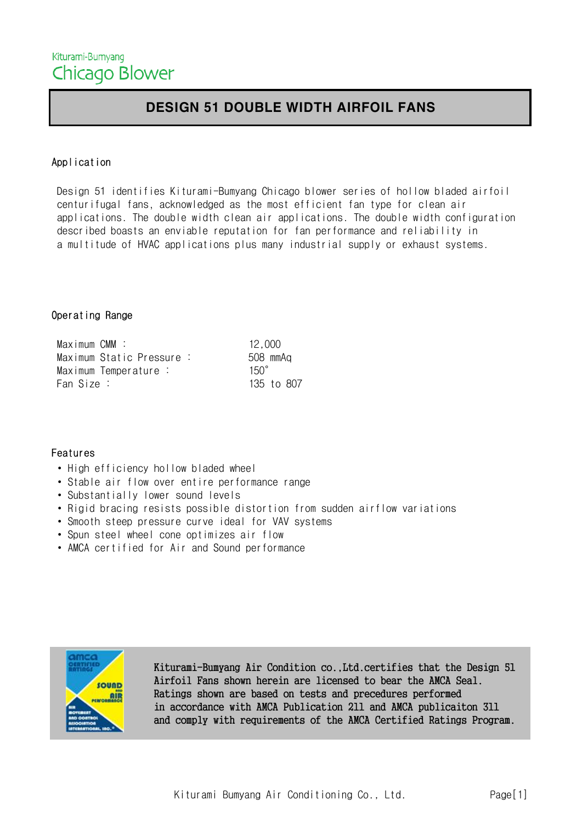#### DESIGN 51 DOUBLE WIDTH AIRFOIL FANS

#### Application

 Design 51 identifies Kiturami-Bumyang Chicago blower series of hollow bladed airfoil centurifugal fans, acknowledged as the most efficient fan type for clean air applications. The double width clean air applications. The double width configuration described boasts an enviable reputation for fan performance and reliability in a multitude of HVAC applications plus many industrial supply or exhaust systems.

#### Operating Range

| Maximum CMM :             | 12,000      |
|---------------------------|-------------|
| Maximum Static Pressure : | 508 mmAq    |
| Maximum Temperature :     | $150^\circ$ |
| Fan Size :                | 135 to 807  |

#### Features

- High efficiency hollow bladed wheel
- Stable air flow over entire performance range
- Substantially lower sound levels
- Rigid bracing resists possible distortion from sudden airflow variations
- Smooth steep pressure curve ideal for VAV systems
- Spun steel wheel cone optimizes air flow
- AMCA certified for Air and Sound performance



 Kiturami-Bumyang Air Condition co.,Ltd.certifies that the Design 51 Airfoil Fans shown herein are licensed to bear the AMCA Seal. Ratings shown are based on tests and precedures performed in accordance with AMCA Publication 211 and AMCA publicaiton 311 and comply with requirements of the AMCA Certified Ratings Program.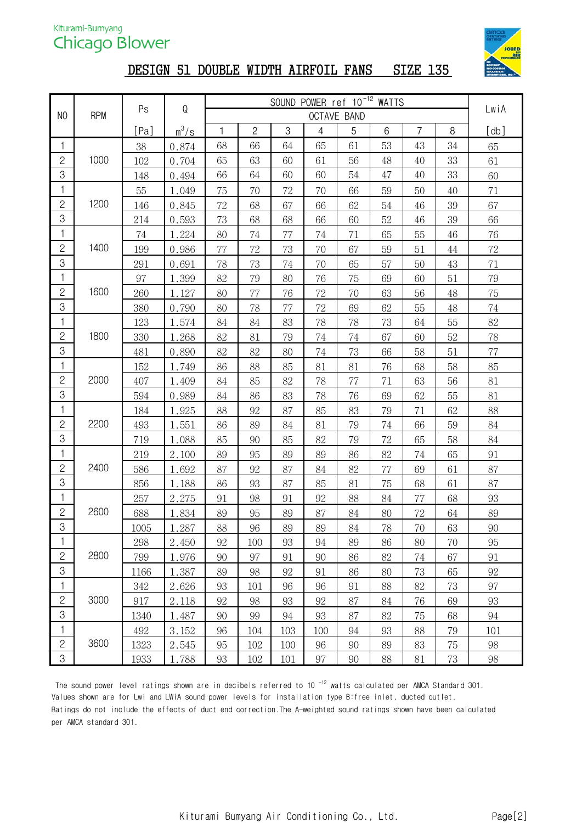

#### DESIGN 51 DOUBLE WIDTH AIRFOIL FANS SIZE 135

|                |            |      |         | SOUND POWER ref 10 <sup>-12</sup> WATTS<br>${\sf Q}$ |                |            |                |                    |    |                |        |        |
|----------------|------------|------|---------|------------------------------------------------------|----------------|------------|----------------|--------------------|----|----------------|--------|--------|
| N <sub>0</sub> | <b>RPM</b> | Ps   |         |                                                      |                |            |                | <b>OCTAVE BAND</b> |    |                |        | LwiA   |
|                |            | [Pa] | $m^3/s$ | 1                                                    | $\overline{c}$ | $\sqrt{3}$ | $\overline{4}$ | 5                  | 6  | $\overline{7}$ | $\, 8$ | [db]   |
| 1              |            | 38   | 0.874   | 68                                                   | 66             | 64         | 65             | 61                 | 53 | 43             | 34     | 65     |
| $\overline{c}$ | 1000       | 102  | 0.704   | 65                                                   | 63             | 60         | 61             | 56                 | 48 | 40             | 33     | 61     |
| 3              |            | 148  | 0.494   | 66                                                   | 64             | 60         | 60             | 54                 | 47 | 40             | 33     | 60     |
| 1              |            | 55   | 1.049   | 75                                                   | 70             | 72         | 70             | 66                 | 59 | 50             | 40     | 71     |
| $\mathbf{2}$   | 1200       | 146  | 0.845   | 72                                                   | 68             | 67         | 66             | 62                 | 54 | 46             | 39     | 67     |
| 3              |            | 214  | 0.593   | 73                                                   | 68             | 68         | 66             | 60                 | 52 | 46             | 39     | 66     |
| 1              |            | 74   | 1.224   | 80                                                   | 74             | 77         | 74             | 71                 | 65 | 55             | 46     | 76     |
| $\overline{c}$ | 1400       | 199  | 0.986   | 77                                                   | 72             | 73         | 70             | 67                 | 59 | 51             | $44\,$ | $72\,$ |
| 3              |            | 291  | 0.691   | 78                                                   | 73             | 74         | 70             | 65                 | 57 | 50             | 43     | 71     |
| 1              |            | 97   | 1.399   | 82                                                   | 79             | 80         | 76             | 75                 | 69 | 60             | 51     | 79     |
| $\mathbf{S}$   | 1600       | 260  | 1.127   | 80                                                   | $77\,$         | 76         | 72             | 70                 | 63 | 56             | 48     | 75     |
| 3              |            | 380  | 0.790   | 80                                                   | 78             | 77         | 72             | 69                 | 62 | 55             | 48     | 74     |
| 1              |            | 123  | 1.574   | 84                                                   | 84             | 83         | 78             | 78                 | 73 | 64             | 55     | 82     |
| $\overline{c}$ | 1800       | 330  | 1.268   | 82                                                   | 81             | 79         | 74             | 74                 | 67 | 60             | 52     | 78     |
| 3              |            | 481  | 0.890   | 82                                                   | 82             | 80         | 74             | 73                 | 66 | 58             | 51     | 77     |
| 1              |            | 152  | 1.749   | 86                                                   | 88             | 85         | 81             | 81                 | 76 | 68             | 58     | 85     |
| $\mathbf{2}$   | 2000       | 407  | 1.409   | 84                                                   | 85             | 82         | 78             | 77                 | 71 | 63             | 56     | 81     |
| 3              |            | 594  | 0.989   | 84                                                   | 86             | 83         | 78             | 76                 | 69 | 62             | 55     | 81     |
| 1              |            | 184  | 1.925   | 88                                                   | 92             | 87         | 85             | 83                 | 79 | 71             | 62     | 88     |
| $\overline{c}$ | 2200       | 493  | 1.551   | 86                                                   | 89             | 84         | 81             | 79                 | 74 | 66             | 59     | 84     |
| 3              |            | 719  | 1.088   | 85                                                   | 90             | 85         | 82             | 79                 | 72 | 65             | 58     | 84     |
| 1              |            | 219  | 2.100   | 89                                                   | 95             | 89         | 89             | 86                 | 82 | 74             | 65     | 91     |
| $\mathbf{2}$   | 2400       | 586  | 1.692   | 87                                                   | 92             | 87         | 84             | $82\,$             | 77 | 69             | 61     | 87     |
| 3              |            | 856  | 1.188   | 86                                                   | 93             | 87         | 85             | 81                 | 75 | 68             | 61     | 87     |
| 1              |            | 257  | 2.275   | 91                                                   | 98             | 91         | 92             | 88                 | 84 | 77             | 68     | 93     |
| $\sqrt{2}$     | 2600       | 688  | 1.834   | 89                                                   | 95             | 89         | 87             | 84                 | 80 | 72             | 64     | 89     |
| $\overline{3}$ |            | 1005 | 1.287   | 88                                                   | 96             | 89         | 89             | 84                 | 78 | 70             | 63     | $90\,$ |
| 1              |            | 298  | 2.450   | 92                                                   | 100            | 93         | 94             | 89                 | 86 | 80             | 70     | 95     |
| $\overline{c}$ | 2800       | 799  | 1.976   | 90                                                   | 97             | 91         | 90             | 86                 | 82 | 74             | 67     | 91     |
| 3              |            | 1166 | 1.387   | 89                                                   | 98             | 92         | 91             | 86                 | 80 | 73             | 65     | 92     |
| 1              |            | 342  | 2.626   | 93                                                   | 101            | 96         | 96             | 91                 | 88 | 82             | 73     | 97     |
| $\overline{c}$ | 3000       | 917  | 2.118   | 92                                                   | 98             | 93         | 92             | 87                 | 84 | 76             | 69     | 93     |
| 3              |            | 1340 | 1.487   | 90                                                   | 99             | 94         | 93             | 87                 | 82 | 75             | 68     | 94     |
| 1              |            | 492  | 3.152   | 96                                                   | 104            | 103        | 100            | 94                 | 93 | 88             | 79     | 101    |
| $\overline{c}$ | 3600       | 1323 | 2.545   | 95                                                   | 102            | 100        | 96             | 90                 | 89 | 83             | 75     | 98     |
| 3              |            | 1933 | 1.788   | 93                                                   | 102            | 101        | 97             | 90                 | 88 | 81             | 73     | 98     |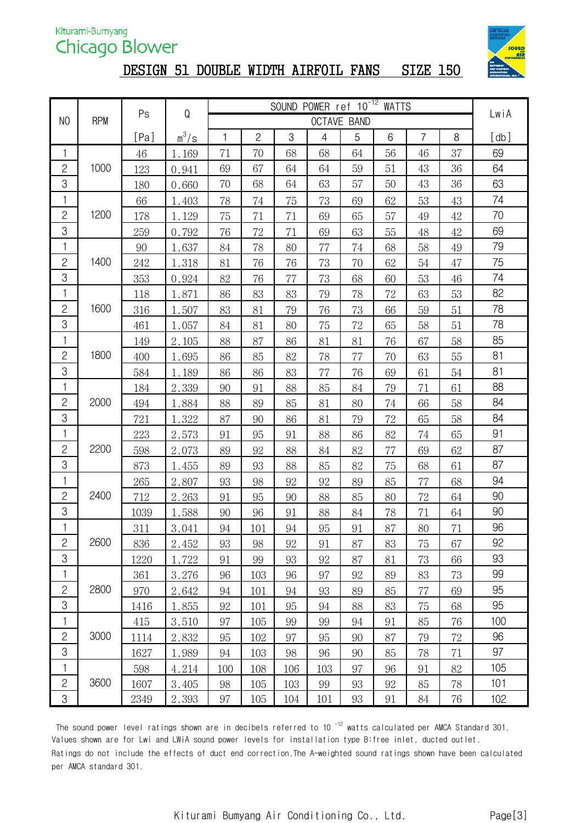# DESIGN 51 DOUBLE WIDTH AIRFOIL FANS SIZE 150



|                |            | Ps   | ${\mathsf Q}$ |     |                |     |                |                    |    |                |        |      |
|----------------|------------|------|---------------|-----|----------------|-----|----------------|--------------------|----|----------------|--------|------|
| N <sub>0</sub> | <b>RPM</b> |      |               |     |                |     |                | <b>OCTAVE BAND</b> |    |                |        | LwiA |
|                |            | [Pa] | $m^3/s$       | 1   | $\overline{c}$ | 3   | $\overline{4}$ | 5                  | 6  | $\overline{7}$ | $\, 8$ | [db] |
| 1              |            | 46   | 1.169         | 71  | 70             | 68  | 68             | 64                 | 56 | 46             | 37     | 69   |
| $\mathbf{2}$   | 1000       | 123  | 0.941         | 69  | 67             | 64  | 64             | 59                 | 51 | 43             | 36     | 64   |
| 3              |            | 180  | 0.660         | 70  | 68             | 64  | 63             | 57                 | 50 | 43             | 36     | 63   |
| $\mathbf{1}$   |            | 66   | 1.403         | 78  | 74             | 75  | 73             | 69                 | 62 | 53             | 43     | 74   |
| $\mathbf{2}$   | 1200       | 178  | 1.129         | 75  | 71             | 71  | 69             | 65                 | 57 | 49             | $42\,$ | 70   |
| 3              |            | 259  | 0.792         | 76  | 72             | 71  | 69             | 63                 | 55 | 48             | $42\,$ | 69   |
| $\mathbf{1}$   |            | 90   | 1.637         | 84  | 78             | 80  | 77             | 74                 | 68 | 58             | 49     | 79   |
| $\mathbf{S}$   | 1400       | 242  | 1.318         | 81  | 76             | 76  | 73             | 70                 | 62 | 54             | 47     | 75   |
| 3              |            | 353  | 0.924         | 82  | 76             | 77  | 73             | 68                 | 60 | 53             | 46     | 74   |
| 1              |            | 118  | 1.871         | 86  | 83             | 83  | 79             | 78                 | 72 | 63             | 53     | 82   |
| $\mathbf{2}$   | 1600       | 316  | 1.507         | 83  | 81             | 79  | 76             | 73                 | 66 | 59             | 51     | 78   |
| 3              |            | 461  | 1.057         | 84  | 81             | 80  | 75             | 72                 | 65 | 58             | 51     | 78   |
| 1              |            | 149  | 2.105         | 88  | 87             | 86  | 81             | 81                 | 76 | 67             | 58     | 85   |
| $\mathbf{2}$   | 1800       | 400  | 1.695         | 86  | 85             | 82  | 78             | 77                 | 70 | 63             | 55     | 81   |
| 3              |            | 584  | 1.189         | 86  | 86             | 83  | 77             | 76                 | 69 | 61             | 54     | 81   |
| $\mathbf{1}$   |            | 184  | 2.339         | 90  | 91             | 88  | 85             | 84                 | 79 | 71             | 61     | 88   |
| $\mathbf{2}$   | 2000       | 494  | 1.884         | 88  | 89             | 85  | 81             | 80                 | 74 | 66             | 58     | 84   |
| 3              |            | 721  | 1.322         | 87  | 90             | 86  | 81             | 79                 | 72 | 65             | 58     | 84   |
| $\mathbf{1}$   |            | 223  | 2.573         | 91  | 95             | 91  | 88             | 86                 | 82 | 74             | 65     | 91   |
| $\mathbf{2}$   | 2200       | 598  | 2.073         | 89  | 92             | 88  | 84             | 82                 | 77 | 69             | 62     | 87   |
| 3              |            | 873  | 1.455         | 89  | 93             | 88  | 85             | 82                 | 75 | 68             | 61     | 87   |
| $\mathbf{1}$   |            | 265  | 2.807         | 93  | 98             | 92  | 92             | 89                 | 85 | 77             | 68     | 94   |
| $\mathbf{2}$   | 2400       | 712  | 2.263         | 91  | 95             | 90  | 88             | 85                 | 80 | 72             | 64     | 90   |
| 3              |            | 1039 | 1.588         | 90  | 96             | 91  | 88             | 84                 | 78 | 71             | 64     | 90   |
| $\mathbf{1}$   |            | 311  | 3.041         | 94  | 101            | 94  | 95             | 91                 | 87 | 80             | 71     | 96   |
| $\overline{c}$ | 2600       | 836  | 2.452         | 93  | 98             | 92  | 91             | 87                 | 83 | 75             | 67     | 92   |
| 3              |            | 1220 | 1.722         | 91  | 99             | 93  | 92             | 87                 | 81 | 73             | 66     | 93   |
| $\mathbf{1}$   |            | 361  | 3.276         | 96  | 103            | 96  | 97             | 92                 | 89 | 83             | 73     | 99   |
| $\mathbf{2}$   | 2800       | 970  | 2.642         | 94  | 101            | 94  | 93             | 89                 | 85 | 77             | 69     | 95   |
| $\mbox{3}$     |            | 1416 | 1.855         | 92  | 101            | 95  | 94             | 88                 | 83 | 75             | 68     | 95   |
| 1              |            | 415  | 3.510         | 97  | 105            | 99  | 99             | 94                 | 91 | 85             | 76     | 100  |
| $\mathbf{2}$   | 3000       | 1114 | 2.832         | 95  | 102            | 97  | 95             | 90                 | 87 | 79             | 72     | 96   |
| $\mbox{3}$     |            | 1627 | 1.989         | 94  | 103            | 98  | 96             | 90                 | 85 | 78             | 71     | 97   |
| 1              |            | 598  | 4.214         | 100 | 108            | 106 | 103            | 97                 | 96 | 91             | 82     | 105  |
| $\mathbf{S}$   | 3600       | 1607 | 3.405         | 98  | 105            | 103 | 99             | 93                 | 92 | 85             | 78     | 101  |
| $\mathcal{S}$  |            | 2349 | 2.393         | 97  | 105            | 104 | 101            | 93                 | 91 | 84             | 76     | 102  |

The sound power level ratings shown are in decibels referred to 10<sup> $-12$ </sup> watts calculated per AMCA Standard 301. Values shown are for Lwi and LWiA sound power levels for installation type B:free inlet, ducted outlet. Ratings do not include the effects of duct end correction.The A-weighted sound ratings shown have been calculated per AMCA standard 301.

Kiturami Bumyang Air Conditioning Co., Ltd. Page[3]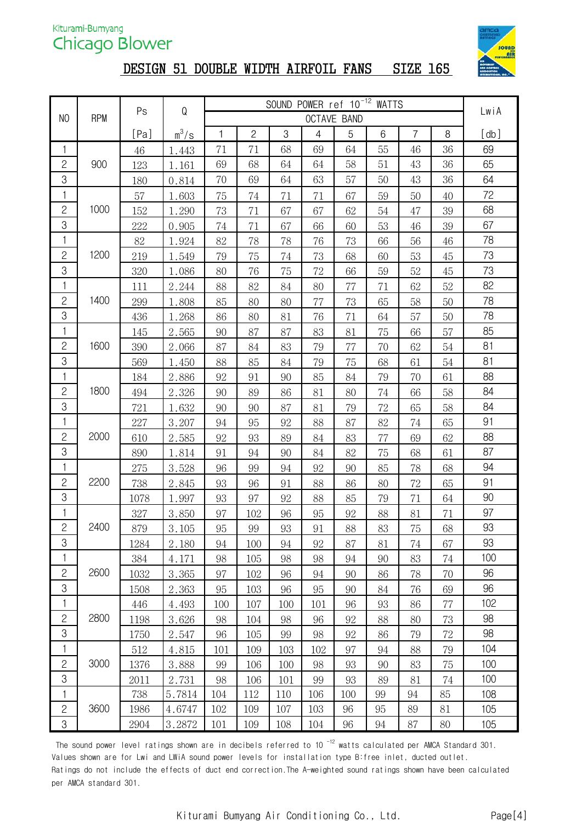

#### DESIGN 51 DOUBLE WIDTH AIRFOIL FANS SIZE 165

|                |            | Ps     | Q       | SOUND POWER ref 10 <sup>-12</sup> WATTS |                |        |                |                    |    |                |        | LwiA |
|----------------|------------|--------|---------|-----------------------------------------|----------------|--------|----------------|--------------------|----|----------------|--------|------|
| N <sub>0</sub> | <b>RPM</b> |        |         |                                         |                |        |                | <b>OCTAVE BAND</b> |    |                |        |      |
|                |            | [Pa]   | $m^3/s$ | 1                                       | $\overline{c}$ | 3      | $\overline{4}$ | 5                  | 6  | $\overline{7}$ | 8      | [db] |
| 1              |            | 46     | 1.443   | 71                                      | 71             | 68     | 69             | 64                 | 55 | 46             | 36     | 69   |
| $\mathbf{2}$   | 900        | 123    | 1.161   | 69                                      | 68             | 64     | 64             | 58                 | 51 | 43             | 36     | 65   |
| 3              |            | 180    | 0.814   | 70                                      | 69             | 64     | 63             | 57                 | 50 | 43             | 36     | 64   |
| $\mathbf{1}$   |            | 57     | 1.603   | 75                                      | 74             | 71     | 71             | 67                 | 59 | 50             | 40     | 72   |
| $\overline{c}$ | 1000       | 152    | 1.290   | 73                                      | 71             | 67     | 67             | 62                 | 54 | 47             | 39     | 68   |
| 3              |            | 222    | 0.905   | 74                                      | 71             | 67     | 66             | 60                 | 53 | 46             | 39     | 67   |
| $\mathbf{1}$   |            | $82\,$ | 1.924   | $82\,$                                  | 78             | 78     | 76             | 73                 | 66 | 56             | $46\,$ | 78   |
| $\mathbf{2}$   | 1200       | 219    | 1.549   | 79                                      | 75             | 74     | 73             | 68                 | 60 | 53             | 45     | 73   |
| $\mbox{3}$     |            | 320    | 1.086   | 80                                      | 76             | 75     | 72             | 66                 | 59 | 52             | 45     | 73   |
| 1              |            | 111    | 2.244   | 88                                      | 82             | $84\,$ | 80             | 77                 | 71 | 62             | $52\,$ | 82   |
| $\mathbf{S}$   | 1400       | 299    | 1.808   | 85                                      | 80             | $80\,$ | 77             | 73                 | 65 | 58             | 50     | 78   |
| 3              |            | 436    | 1.268   | 86                                      | 80             | 81     | 76             | 71                 | 64 | 57             | 50     | 78   |
| $\mathbf{1}$   |            | 145    | 2.565   | 90                                      | 87             | 87     | 83             | 81                 | 75 | 66             | 57     | 85   |
| $\mathbf{S}$   | 1600       | 390    | 2.066   | 87                                      | 84             | 83     | 79             | 77                 | 70 | 62             | 54     | 81   |
| $\mbox{3}$     |            | 569    | 1.450   | 88                                      | 85             | 84     | 79             | 75                 | 68 | 61             | 54     | 81   |
| 1              |            | 184    | 2.886   | 92                                      | 91             | 90     | 85             | 84                 | 79 | 70             | 61     | 88   |
| $\mathbf{2}$   | 1800       | 494    | 2.326   | 90                                      | 89             | 86     | 81             | 80                 | 74 | 66             | 58     | 84   |
| 3              |            | 721    | 1.632   | 90                                      | 90             | 87     | 81             | 79                 | 72 | 65             | 58     | 84   |
| $\mathbf{1}$   |            | 227    | 3.207   | 94                                      | 95             | 92     | 88             | 87                 | 82 | 74             | 65     | 91   |
| $\sqrt{2}$     | 2000       | 610    | 2.585   | 92                                      | 93             | 89     | 84             | 83                 | 77 | 69             | 62     | 88   |
| 3              |            | 890    | 1.814   | 91                                      | 94             | 90     | 84             | 82                 | 75 | 68             | 61     | 87   |
| 1              |            | 275    | 3.528   | 96                                      | 99             | 94     | 92             | 90                 | 85 | 78             | 68     | 94   |
| $\mathbf{S}$   | 2200       | 738    | 2.845   | 93                                      | 96             | 91     | 88             | 86                 | 80 | 72             | 65     | 91   |
| 3              |            | 1078   | 1.997   | 93                                      | 97             | 92     | 88             | 85                 | 79 | 71             | 64     | 90   |
| 1              |            | 327    | 3.850   | 97                                      | 102            | 96     | 95             | 92                 | 88 | 81             | 71     | 97   |
| $\overline{2}$ | 2400       | 879    | 3.105   | 95                                      | 99             | 93     | 91             | 88                 | 83 | 75             | 68     | 93   |
| 3              |            | 1284   | 2.180   | 94                                      | 100            | 94     | 92             | 87                 | 81 | 74             | 67     | 93   |
| 1              |            | 384    | 4.171   | 98                                      | 105            | 98     | 98             | 94                 | 90 | 83             | 74     | 100  |
| $\mathbf{2}$   | 2600       | 1032   | 3.365   | 97                                      | 102            | 96     | 94             | 90                 | 86 | 78             | 70     | 96   |
| 3              |            | 1508   | 2.363   | 95                                      | 103            | 96     | 95             | 90                 | 84 | 76             | 69     | 96   |
| 1              |            | 446    | 4.493   | 100                                     | 107            | 100    | 101            | 96                 | 93 | 86             | 77     | 102  |
| $\mathbf{2}$   | 2800       | 1198   | 3.626   | 98                                      | 104            | 98     | 96             | 92                 | 88 | 80             | 73     | 98   |
| 3              |            | 1750   | 2.547   | 96                                      | 105            | 99     | 98             | 92                 | 86 | 79             | $72\,$ | 98   |
| 1              |            | 512    | 4.815   | 101                                     | 109            | 103    | 102            | 97                 | 94 | 88             | 79     | 104  |
| $\mathbf{2}$   | 3000       | 1376   | 3.888   | 99                                      | 106            | 100    | 98             | 93                 | 90 | 83             | 75     | 100  |
| $\mbox{3}$     |            | 2011   | 2.731   | 98                                      | 106            | 101    | 99             | 93                 | 89 | 81             | 74     | 100  |
| 1              |            | 738    | 5.7814  | 104                                     | 112            | 110    | 106            | 100                | 99 | 94             | 85     | 108  |
| $\overline{c}$ | 3600       | 1986   | 4.6747  | 102                                     | 109            | 107    | 103            | 96                 | 95 | 89             | 81     | 105  |
| $\mbox{3}$     |            | 2904   | 3.2872  | 101                                     | 109            | 108    | 104            | 96                 | 94 | 87             | 80     | 105  |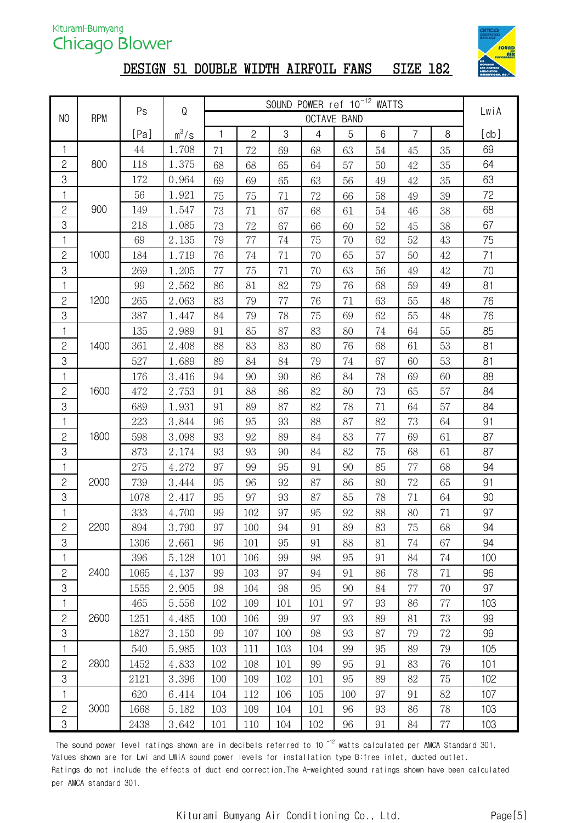

#### DESIGN 51 DOUBLE WIDTH AIRFOIL FANS SIZE 182

|                |            | Ps   | ${\mathsf Q}$ |     |                | LwiA |                |             |    |                |        |      |
|----------------|------------|------|---------------|-----|----------------|------|----------------|-------------|----|----------------|--------|------|
| N <sub>0</sub> | <b>RPM</b> |      |               |     |                |      |                | OCTAVE BAND |    |                |        |      |
|                |            | [Pa] | $m^3/s$       | 1   | $\overline{c}$ | 3    | $\overline{4}$ | 5           | 6  | $\overline{7}$ | 8      | [db] |
| 1              |            | 44   | 1.708         | 71  | 72             | 69   | 68             | 63          | 54 | 45             | 35     | 69   |
| $\overline{c}$ | 800        | 118  | 1.375         | 68  | 68             | 65   | 64             | 57          | 50 | 42             | 35     | 64   |
| 3              |            | 172  | 0.964         | 69  | 69             | 65   | 63             | 56          | 49 | 42             | 35     | 63   |
| 1              |            | 56   | 1.921         | 75  | 75             | 71   | 72             | 66          | 58 | 49             | 39     | 72   |
| $\overline{c}$ | 900        | 149  | 1.547         | 73  | 71             | 67   | 68             | 61          | 54 | 46             | 38     | 68   |
| 3              |            | 218  | 1.085         | 73  | 72             | 67   | 66             | 60          | 52 | 45             | 38     | 67   |
| 1              |            | 69   | 2.135         | 79  | 77             | 74   | 75             | 70          | 62 | 52             | 43     | 75   |
| $\mathbf{2}$   | 1000       | 184  | 1.719         | 76  | 74             | 71   | 70             | 65          | 57 | 50             | 42     | 71   |
| 3              |            | 269  | 1.205         | 77  | 75             | 71   | 70             | 63          | 56 | 49             | 42     | 70   |
| 1              |            | 99   | 2.562         | 86  | 81             | 82   | 79             | 76          | 68 | 59             | 49     | 81   |
| $\mathbf{2}$   | 1200       | 265  | 2.063         | 83  | 79             | 77   | 76             | 71          | 63 | 55             | 48     | 76   |
| 3              |            | 387  | 1.447         | 84  | 79             | 78   | 75             | 69          | 62 | 55             | 48     | 76   |
| 1              |            | 135  | 2.989         | 91  | 85             | 87   | 83             | 80          | 74 | 64             | 55     | 85   |
| $\mathbf{S}$   | 1400       | 361  | 2.408         | 88  | 83             | 83   | 80             | 76          | 68 | 61             | 53     | 81   |
| 3              |            | 527  | 1.689         | 89  | 84             | 84   | 79             | 74          | 67 | 60             | 53     | 81   |
| 1              |            | 176  | 3.416         | 94  | 90             | 90   | 86             | 84          | 78 | 69             | 60     | 88   |
| $\overline{c}$ | 1600       | 472  | 2.753         | 91  | 88             | 86   | 82             | 80          | 73 | 65             | 57     | 84   |
| 3              |            | 689  | 1.931         | 91  | 89             | 87   | 82             | 78          | 71 | 64             | 57     | 84   |
| 1              |            | 223  | 3.844         | 96  | 95             | 93   | 88             | 87          | 82 | 73             | 64     | 91   |
| $\sqrt{2}$     | 1800       | 598  | 3.098         | 93  | 92             | 89   | 84             | 83          | 77 | 69             | 61     | 87   |
| 3              |            | 873  | 2.174         | 93  | 93             | 90   | 84             | 82          | 75 | 68             | 61     | 87   |
| 1              |            | 275  | 4.272         | 97  | 99             | 95   | 91             | 90          | 85 | 77             | 68     | 94   |
| $\mathbf{2}$   | 2000       | 739  | 3.444         | 95  | 96             | 92   | 87             | 86          | 80 | 72             | 65     | 91   |
| 3              |            | 1078 | 2.417         | 95  | 97             | 93   | 87             | 85          | 78 | 71             | 64     | 90   |
| 1              |            | 333  | 4.700         | 99  | 102            | 97   | 95             | 92          | 88 | 80             | 71     | 97   |
| $\overline{c}$ | 2200       | 894  | 3.790         | 97  | 100            | 94   | 91             | 89          | 83 | 75             | 68     | 94   |
| 3              |            | 1306 | 2.661         | 96  | 101            | 95   | 91             | 88          | 81 | 74             | 67     | 94   |
| 1              |            | 396  | 5.128         | 101 | 106            | 99   | 98             | 95          | 91 | 84             | 74     | 100  |
| $\mathbf{2}$   | 2400       | 1065 | 4.137         | 99  | 103            | 97   | 94             | 91          | 86 | 78             | 71     | 96   |
| 3              |            | 1555 | 2.905         | 98  | 104            | 98   | 95             | 90          | 84 | 77             | 70     | 97   |
| 1              |            | 465  | 5.556         | 102 | 109            | 101  | 101            | 97          | 93 | 86             | 77     | 103  |
| $\mathbf{2}$   | 2600       | 1251 | 4.485         | 100 | 106            | 99   | 97             | 93          | 89 | 81             | 73     | 99   |
| 3              |            | 1827 | 3.150         | 99  | 107            | 100  | 98             | 93          | 87 | 79             | $72\,$ | 99   |
| 1              |            | 540  | 5.985         | 103 | 111            | 103  | 104            | 99          | 95 | 89             | 79     | 105  |
| $\mathbf{2}$   | 2800       | 1452 | 4.833         | 102 | 108            | 101  | 99             | 95          | 91 | 83             | 76     | 101  |
| 3              |            | 2121 | 3.396         | 100 | 109            | 102  | 101            | 95          | 89 | 82             | 75     | 102  |
| 1              |            | 620  | 6.414         | 104 | 112            | 106  | 105            | 100         | 97 | 91             | 82     | 107  |
| $\mathbf{2}$   | 3000       | 1668 | 5.182         | 103 | 109            | 104  | 101            | 96          | 93 | 86             | 78     | 103  |
| 3              |            | 2438 | 3.642         | 101 | 110            | 104  | 102            | 96          | 91 | 84             | 77     | 103  |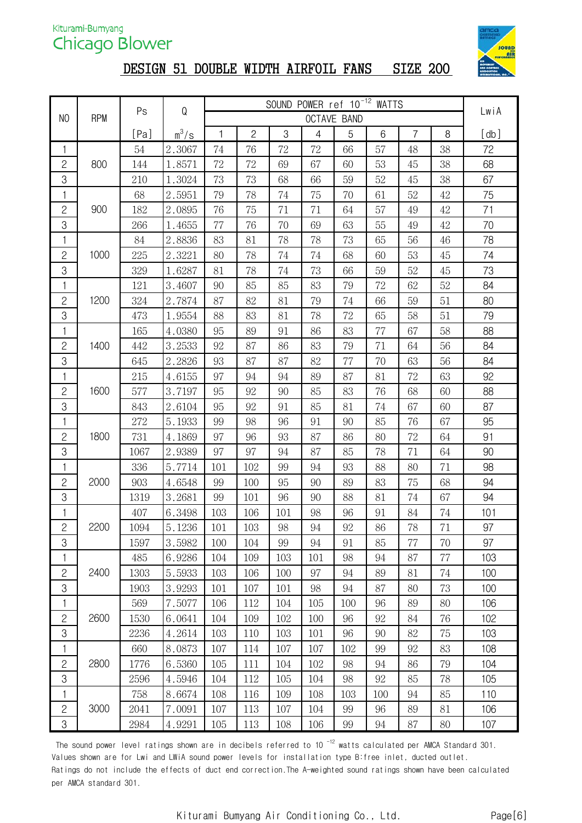

#### DESIGN 51 DOUBLE WIDTH AIRFOIL FANS SIZE 200

|                |            |      |         | SOUND POWER ref 10 <sup>-12</sup> WATTS |                |     |                |                    |     |                |    |      |
|----------------|------------|------|---------|-----------------------------------------|----------------|-----|----------------|--------------------|-----|----------------|----|------|
| N <sub>0</sub> | <b>RPM</b> | Ps   | Q       |                                         |                |     |                | <b>OCTAVE BAND</b> |     |                |    | LwiA |
|                |            | [Pa] | $m^3/s$ | $\mathbf{1}$                            | $\overline{c}$ | 3   | $\overline{4}$ | 5                  | 6   | $\overline{7}$ | 8  | [db] |
| 1              |            | 54   | 2.3067  | 74                                      | 76             | 72  | 72             | 66                 | 57  | 48             | 38 | 72   |
| $\mathbf{2}$   | 800        | 144  | 1.8571  | 72                                      | 72             | 69  | 67             | 60                 | 53  | 45             | 38 | 68   |
| $\,3$          |            | 210  | 1.3024  | 73                                      | 73             | 68  | 66             | 59                 | 52  | 45             | 38 | 67   |
| 1              |            | 68   | 2.5951  | 79                                      | 78             | 74  | 75             | $70\,$             | 61  | 52             | 42 | 75   |
| $\overline{c}$ | 900        | 182  | 2.0895  | 76                                      | 75             | 71  | 71             | 64                 | 57  | 49             | 42 | 71   |
| $\mbox{3}$     |            | 266  | 1.4655  | 77                                      | 76             | 70  | 69             | 63                 | 55  | 49             | 42 | 70   |
| $\mathbf{1}$   |            | 84   | 2.8836  | 83                                      | 81             | 78  | 78             | 73                 | 65  | 56             | 46 | 78   |
| $\mathbf{2}$   | 1000       | 225  | 2.3221  | 80                                      | 78             | 74  | 74             | 68                 | 60  | 53             | 45 | 74   |
| $\mbox{3}$     |            | 329  | 1.6287  | 81                                      | 78             | 74  | 73             | 66                 | 59  | 52             | 45 | 73   |
| 1              |            | 121  | 3.4607  | 90                                      | 85             | 85  | 83             | 79                 | 72  | 62             | 52 | 84   |
| $\mathbf{S}$   | 1200       | 324  | 2.7874  | 87                                      | 82             | 81  | 79             | 74                 | 66  | 59             | 51 | 80   |
| 3              |            | 473  | 1.9554  | 88                                      | 83             | 81  | 78             | 72                 | 65  | 58             | 51 | 79   |
| $\mathbf{1}$   |            | 165  | 4.0380  | 95                                      | 89             | 91  | 86             | 83                 | 77  | 67             | 58 | 88   |
| $\mathbf{S}$   | 1400       | 442  | 3.2533  | 92                                      | 87             | 86  | 83             | 79                 | 71  | 64             | 56 | 84   |
| $\mbox{3}$     |            | 645  | 2.2826  | 93                                      | 87             | 87  | 82             | 77                 | 70  | 63             | 56 | 84   |
| 1              |            | 215  | 4.6155  | 97                                      | 94             | 94  | 89             | 87                 | 81  | 72             | 63 | 92   |
| $\mathbf{2}$   | 1600       | 577  | 3.7197  | 95                                      | 92             | 90  | 85             | 83                 | 76  | 68             | 60 | 88   |
| $\mbox{3}$     |            | 843  | 2.6104  | 95                                      | 92             | 91  | 85             | 81                 | 74  | 67             | 60 | 87   |
| $\mathbf{1}$   |            | 272  | 5.1933  | 99                                      | 98             | 96  | 91             | 90                 | 85  | 76             | 67 | 95   |
| $\mathbf{2}$   | 1800       | 731  | 4.1869  | 97                                      | 96             | 93  | 87             | 86                 | 80  | 72             | 64 | 91   |
| $\mbox{3}$     |            | 1067 | 2.9389  | 97                                      | 97             | 94  | 87             | 85                 | 78  | 71             | 64 | 90   |
| 1              |            | 336  | 5.7714  | 101                                     | 102            | 99  | 94             | 93                 | 88  | 80             | 71 | 98   |
| $\mathbf{S}$   | 2000       | 903  | 4.6548  | 99                                      | 100            | 95  | 90             | 89                 | 83  | 75             | 68 | 94   |
| 3              |            | 1319 | 3.2681  | 99                                      | 101            | 96  | 90             | 88                 | 81  | 74             | 67 | 94   |
| 1              |            | 407  | 6.3498  | 103                                     | 106            | 101 | 98             | 96                 | 91  | 84             | 74 | 101  |
| $\overline{2}$ | 2200       | 1094 | 5.1236  | 101                                     | 103            | 98  | 94             | 92                 | 86  | 78             | 71 | 97   |
| $\mbox{3}$     |            | 1597 | 3.5982  | 100                                     | 104            | 99  | 94             | 91                 | 85  | 77             | 70 | 97   |
| 1              |            | 485  | 6.9286  | 104                                     | 109            | 103 | 101            | 98                 | 94  | 87             | 77 | 103  |
| $\mathbf{2}$   | 2400       | 1303 | 5.5933  | 103                                     | 106            | 100 | 97             | 94                 | 89  | 81             | 74 | 100  |
| 3              |            | 1903 | 3.9293  | 101                                     | 107            | 101 | 98             | 94                 | 87  | 80             | 73 | 100  |
| 1              |            | 569  | 7.5077  | 106                                     | 112            | 104 | 105            | 100                | 96  | 89             | 80 | 106  |
| $\mathbf{2}$   | 2600       | 1530 | 6.0641  | 104                                     | 109            | 102 | 100            | 96                 | 92  | 84             | 76 | 102  |
| 3              |            | 2236 | 4.2614  | 103                                     | 110            | 103 | 101            | 96                 | 90  | 82             | 75 | 103  |
| 1              |            | 660  | 8.0873  | 107                                     | 114            | 107 | 107            | 102                | 99  | 92             | 83 | 108  |
| $\mathbf{2}$   | 2800       | 1776 | 6.5360  | 105                                     | 111            | 104 | 102            | 98                 | 94  | 86             | 79 | 104  |
| $\mbox{3}$     |            | 2596 | 4.5946  | 104                                     | 112            | 105 | 104            | 98                 | 92  | 85             | 78 | 105  |
| 1              |            | 758  | 8.6674  | 108                                     | 116            | 109 | 108            | 103                | 100 | 94             | 85 | 110  |
| $\overline{c}$ | 3000       | 2041 | 7.0091  | 107                                     | 113            | 107 | 104            | 99                 | 96  | 89             | 81 | 106  |
| $\mathfrak{B}$ |            | 2984 | 4.9291  | 105                                     | 113            | 108 | 106            | 99                 | 94  | 87             | 80 | 107  |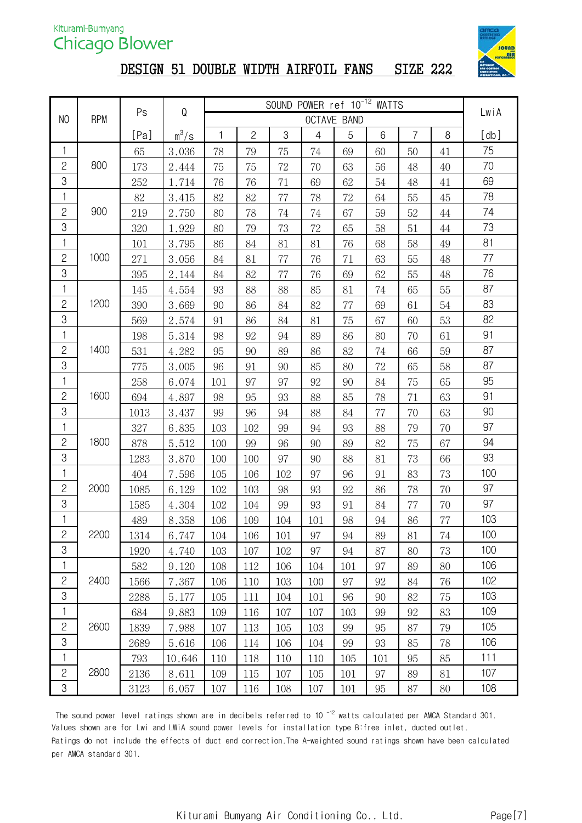

# DESIGN 51 DOUBLE WIDTH AIRFOIL FANS SIZE 222

|                |            |        | SOUND POWER ref 10 <sup>-12</sup> WATTS<br>${\mathsf Q}$<br>Ps |     |              |       |                |                    |     |                | LwiA |      |
|----------------|------------|--------|----------------------------------------------------------------|-----|--------------|-------|----------------|--------------------|-----|----------------|------|------|
| N <sub>O</sub> | <b>RPM</b> |        |                                                                |     |              |       |                | <b>OCTAVE BAND</b> |     |                |      |      |
|                |            | [Pa]   | $m^3/s$                                                        | 1   | $\mathbf{2}$ | $\,3$ | $\overline{4}$ | 5                  | 6   | $\overline{7}$ | 8    | [db] |
| 1              |            | 65     | 3.036                                                          | 78  | 79           | 75    | 74             | 69                 | 60  | 50             | 41   | 75   |
| $\overline{c}$ | 800        | 173    | 2.444                                                          | 75  | 75           | 72    | 70             | 63                 | 56  | 48             | 40   | 70   |
| 3              |            | 252    | 1.714                                                          | 76  | 76           | 71    | 69             | 62                 | 54  | 48             | 41   | 69   |
| 1              |            | $82\,$ | 3.415                                                          | 82  | 82           | 77    | 78             | 72                 | 64  | 55             | 45   | 78   |
| $\overline{c}$ | 900        | 219    | 2.750                                                          | 80  | 78           | 74    | 74             | 67                 | 59  | 52             | 44   | 74   |
| 3              |            | 320    | 1.929                                                          | 80  | 79           | 73    | 72             | 65                 | 58  | 51             | 44   | 73   |
| 1              |            | 101    | 3.795                                                          | 86  | 84           | 81    | 81             | 76                 | 68  | 58             | 49   | 81   |
| $\overline{c}$ | 1000       | 271    | 3.056                                                          | 84  | 81           | 77    | 76             | 71                 | 63  | 55             | 48   | 77   |
| $\mbox{3}$     |            | 395    | 2.144                                                          | 84  | 82           | 77    | 76             | 69                 | 62  | 55             | 48   | 76   |
| 1              |            | 145    | 4.554                                                          | 93  | 88           | 88    | 85             | 81                 | 74  | 65             | 55   | 87   |
| $\overline{c}$ | 1200       | 390    | 3.669                                                          | 90  | 86           | 84    | 82             | 77                 | 69  | 61             | 54   | 83   |
| 3              |            | 569    | 2.574                                                          | 91  | 86           | 84    | 81             | 75                 | 67  | 60             | 53   | 82   |
| 1              |            | 198    | 5.314                                                          | 98  | 92           | 94    | 89             | 86                 | 80  | 70             | 61   | 91   |
| $\overline{c}$ | 1400       | 531    | 4.282                                                          | 95  | 90           | 89    | 86             | 82                 | 74  | 66             | 59   | 87   |
| 3              |            | 775    | 3.005                                                          | 96  | 91           | 90    | 85             | 80                 | 72  | 65             | 58   | 87   |
| 1              |            | 258    | 6.074                                                          | 101 | 97           | 97    | 92             | 90                 | 84  | 75             | 65   | 95   |
| $\mathbf{2}$   | 1600       | 694    | 4.897                                                          | 98  | 95           | 93    | 88             | 85                 | 78  | 71             | 63   | 91   |
| 3              |            | 1013   | 3.437                                                          | 99  | 96           | 94    | 88             | 84                 | 77  | 70             | 63   | 90   |
| 1              |            | 327    | 6.835                                                          | 103 | 102          | 99    | 94             | 93                 | 88  | 79             | 70   | 97   |
| $\overline{c}$ | 1800       | 878    | 5.512                                                          | 100 | 99           | 96    | 90             | 89                 | 82  | 75             | 67   | 94   |
| 3              |            | 1283   | 3.870                                                          | 100 | 100          | 97    | 90             | 88                 | 81  | 73             | 66   | 93   |
| $\mathbf{1}$   |            | 404    | 7.596                                                          | 105 | 106          | 102   | 97             | 96                 | 91  | 83             | 73   | 100  |
| $\overline{c}$ | 2000       | 1085   | 6.129                                                          | 102 | 103          | 98    | 93             | 92                 | 86  | 78             | 70   | 97   |
| 3              |            | 1585   | 4.304                                                          | 102 | 104          | 99    | 93             | 91                 | 84  | 77             | 70   | 97   |
| 1              |            | 489    | 8.358                                                          | 106 | 109          | 104   | 101            | 98                 | 94  | 86             | 77   | 103  |
| $\overline{c}$ | 2200       | 1314   | 6.747                                                          | 104 | 106          | 101   | 97             | 94                 | 89  | 81             | 74   | 100  |
| 3              |            | 1920   | 4.740                                                          | 103 | 107          | 102   | 97             | 94                 | 87  | 80             | 73   | 100  |
| 1              |            | 582    | 9.120                                                          | 108 | 112          | 106   | 104            | 101                | 97  | 89             | 80   | 106  |
| $\mathbf{S}$   | 2400       | 1566   | 7.367                                                          | 106 | 110          | 103   | 100            | 97                 | 92  | 84             | 76   | 102  |
| $\rm 3$        |            | 2288   | 5.177                                                          | 105 | 111          | 104   | 101            | 96                 | 90  | 82             | 75   | 103  |
| 1              |            | 684    | 9.883                                                          | 109 | 116          | 107   | 107            | 103                | 99  | 92             | 83   | 109  |
| $\mathbf{S}$   | 2600       | 1839   | 7.988                                                          | 107 | 113          | 105   | 103            | 99                 | 95  | 87             | 79   | 105  |
| $\mbox{3}$     |            | 2689   | 5.616                                                          | 106 | 114          | 106   | 104            | 99                 | 93  | 85             | 78   | 106  |
| 1              |            | 793    | 10.646                                                         | 110 | 118          | 110   | 110            | 105                | 101 | 95             | 85   | 111  |
| $\overline{c}$ | 2800       | 2136   | 8.611                                                          | 109 | 115          | 107   | 105            | 101                | 97  | 89             | 81   | 107  |
| $\rm 3$        |            | 3123   | 6.057                                                          | 107 | 116          | 108   | 107            | 101                | 95  | 87             | 80   | 108  |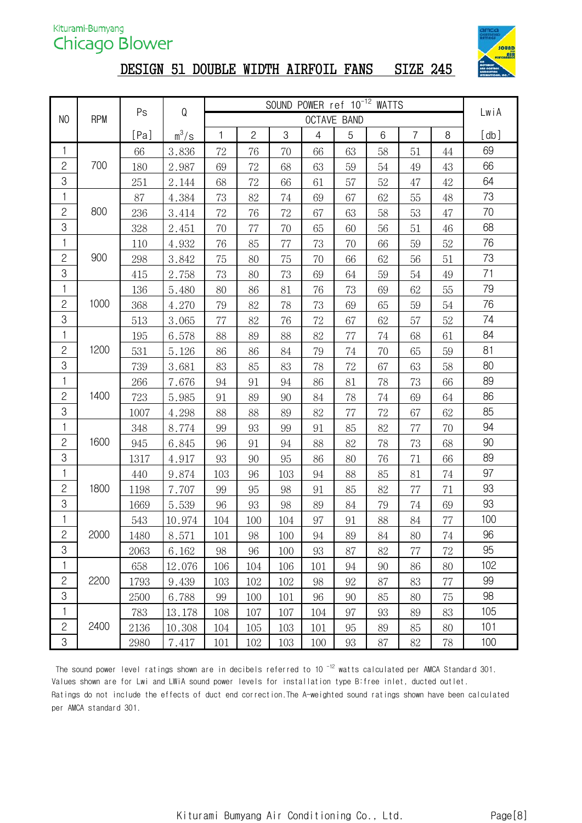

## DESIGN 51 DOUBLE WIDTH AIRFOIL FANS SIZE 245

|                |            | Ps   | ${\sf Q}$ | SOUND POWER ref 10 <sup>-12</sup> WATTS |                |     |                |                    |    |                |        | LwiA |
|----------------|------------|------|-----------|-----------------------------------------|----------------|-----|----------------|--------------------|----|----------------|--------|------|
| N <sub>O</sub> | <b>RPM</b> |      |           |                                         |                |     |                | <b>OCTAVE BAND</b> |    |                |        |      |
|                |            | [Pa] | $m^3/s$   | 1                                       | $\overline{c}$ | 3   | $\overline{4}$ | 5                  | 6  | $\overline{7}$ | $\, 8$ | [db] |
| 1              |            | 66   | 3.836     | 72                                      | 76             | 70  | 66             | 63                 | 58 | 51             | 44     | 69   |
| $\overline{c}$ | 700        | 180  | 2.987     | 69                                      | 72             | 68  | 63             | 59                 | 54 | 49             | 43     | 66   |
| 3              |            | 251  | 2.144     | 68                                      | 72             | 66  | 61             | 57                 | 52 | 47             | $42\,$ | 64   |
| 1              |            | 87   | 4.384     | 73                                      | 82             | 74  | 69             | 67                 | 62 | 55             | 48     | 73   |
| $\overline{c}$ | 800        | 236  | 3.414     | 72                                      | 76             | 72  | 67             | 63                 | 58 | 53             | 47     | 70   |
| 3              |            | 328  | 2.451     | 70                                      | 77             | 70  | 65             | 60                 | 56 | 51             | 46     | 68   |
| 1              |            | 110  | 4.932     | 76                                      | 85             | 77  | 73             | 70                 | 66 | 59             | 52     | 76   |
| $\overline{c}$ | 900        | 298  | 3.842     | 75                                      | 80             | 75  | 70             | 66                 | 62 | 56             | 51     | 73   |
| 3              |            | 415  | 2.758     | 73                                      | 80             | 73  | 69             | 64                 | 59 | 54             | 49     | 71   |
| 1              |            | 136  | 5.480     | 80                                      | 86             | 81  | 76             | 73                 | 69 | 62             | 55     | 79   |
| $\mathbf{2}$   | 1000       | 368  | 4.270     | 79                                      | 82             | 78  | 73             | 69                 | 65 | 59             | 54     | 76   |
| 3              |            | 513  | 3.065     | 77                                      | 82             | 76  | 72             | 67                 | 62 | 57             | 52     | 74   |
| 1              |            | 195  | 6.578     | 88                                      | 89             | 88  | 82             | 77                 | 74 | 68             | 61     | 84   |
| $\overline{c}$ | 1200       | 531  | 5.126     | 86                                      | 86             | 84  | 79             | 74                 | 70 | 65             | 59     | 81   |
| 3              |            | 739  | 3.681     | 83                                      | 85             | 83  | 78             | 72                 | 67 | 63             | 58     | 80   |
| 1              |            | 266  | 7.676     | 94                                      | 91             | 94  | 86             | 81                 | 78 | 73             | 66     | 89   |
| $\overline{c}$ | 1400       | 723  | 5.985     | 91                                      | 89             | 90  | 84             | 78                 | 74 | 69             | 64     | 86   |
| 3              |            | 1007 | 4.298     | 88                                      | 88             | 89  | 82             | 77                 | 72 | 67             | 62     | 85   |
| $\mathbf{1}$   |            | 348  | 8.774     | 99                                      | 93             | 99  | 91             | 85                 | 82 | 77             | 70     | 94   |
| $\overline{c}$ | 1600       | 945  | 6.845     | 96                                      | 91             | 94  | 88             | 82                 | 78 | 73             | 68     | 90   |
| 3              |            | 1317 | 4.917     | 93                                      | 90             | 95  | 86             | 80                 | 76 | 71             | 66     | 89   |
| 1              |            | 440  | 9.874     | 103                                     | 96             | 103 | 94             | 88                 | 85 | 81             | 74     | 97   |
| $\mathbf{2}$   | 1800       | 1198 | 7.707     | 99                                      | 95             | 98  | 91             | 85                 | 82 | 77             | 71     | 93   |
| 3              |            | 1669 | 5.539     | 96                                      | 93             | 98  | 89             | 84                 | 79 | 74             | 69     | 93   |
| 1              |            | 543  | 10.974    | 104                                     | 100            | 104 | 97             | 91                 | 88 | 84             | $77\,$ | 100  |
| $\mathbf{S}$   | 2000       | 1480 | 8.571     | 101                                     | 98             | 100 | 94             | 89                 | 84 | 80             | $74\,$ | 96   |
| $\mbox{3}$     |            | 2063 | 6.162     | 98                                      | 96             | 100 | 93             | 87                 | 82 | 77             | 72     | 95   |
| 1              |            | 658  | 12.076    | 106                                     | 104            | 106 | 101            | 94                 | 90 | 86             | 80     | 102  |
| $\mathbf{S}$   | 2200       | 1793 | 9.439     | 103                                     | 102            | 102 | 98             | 92                 | 87 | 83             | $77\,$ | 99   |
| $\mbox{3}$     |            | 2500 | 6.788     | 99                                      | 100            | 101 | 96             | 90                 | 85 | 80             | 75     | 98   |
| 1              |            | 783  | 13.178    | 108                                     | 107            | 107 | 104            | 97                 | 93 | 89             | 83     | 105  |
| $\overline{c}$ | 2400       | 2136 | 10.308    | 104                                     | 105            | 103 | 101            | 95                 | 89 | 85             | 80     | 101  |
| $\rm 3$        |            | 2980 | 7.417     | 101                                     | 102            | 103 | 100            | 93                 | 87 | 82             | 78     | 100  |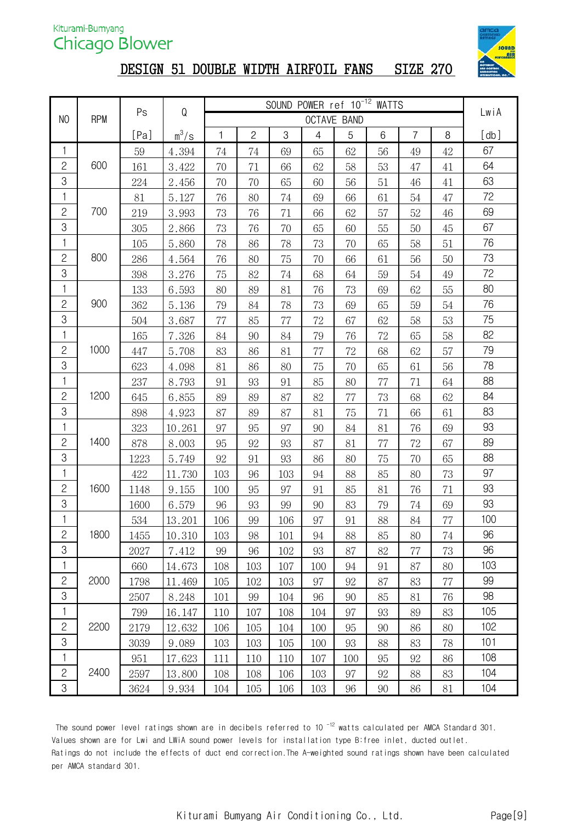

# DESIGN 51 DOUBLE WIDTH AIRFOIL FANS SIZE 270

| SOUND POWER ref 10 <sup>-12</sup> WATTS<br>${\sf Q}$<br>Ps |            |      |         |     |                |     |                |                    | LwiA |                |        |      |
|------------------------------------------------------------|------------|------|---------|-----|----------------|-----|----------------|--------------------|------|----------------|--------|------|
| N <sub>0</sub>                                             | <b>RPM</b> |      |         |     |                |     |                | <b>OCTAVE BAND</b> |      |                |        |      |
|                                                            |            | [Pa] | $m^3/s$ | 1   | $\overline{c}$ | 3   | $\overline{4}$ | 5                  | 6    | $\overline{7}$ | $\, 8$ | [db] |
| 1                                                          |            | 59   | 4.394   | 74  | 74             | 69  | 65             | 62                 | 56   | 49             | 42     | 67   |
| $\overline{c}$                                             | 600        | 161  | 3.422   | 70  | 71             | 66  | 62             | 58                 | 53   | 47             | 41     | 64   |
| 3                                                          |            | 224  | 2.456   | 70  | 70             | 65  | 60             | 56                 | 51   | 46             | 41     | 63   |
| 1                                                          |            | 81   | 5.127   | 76  | 80             | 74  | 69             | 66                 | 61   | 54             | 47     | 72   |
| $\overline{c}$                                             | 700        | 219  | 3.993   | 73  | 76             | 71  | 66             | 62                 | 57   | 52             | 46     | 69   |
| 3                                                          |            | 305  | 2.866   | 73  | 76             | 70  | 65             | 60                 | 55   | 50             | 45     | 67   |
| 1                                                          |            | 105  | 5.860   | 78  | 86             | 78  | 73             | 70                 | 65   | 58             | 51     | 76   |
| $\mathbf{S}$                                               | 800        | 286  | 4.564   | 76  | 80             | 75  | 70             | 66                 | 61   | 56             | 50     | 73   |
| 3                                                          |            | 398  | 3.276   | 75  | 82             | 74  | 68             | 64                 | 59   | 54             | 49     | 72   |
| 1                                                          |            | 133  | 6.593   | 80  | 89             | 81  | 76             | 73                 | 69   | 62             | 55     | 80   |
| $\overline{c}$                                             | 900        | 362  | 5.136   | 79  | 84             | 78  | 73             | 69                 | 65   | 59             | 54     | 76   |
| 3                                                          |            | 504  | 3.687   | 77  | 85             | 77  | 72             | 67                 | 62   | 58             | 53     | 75   |
| 1                                                          |            | 165  | 7.326   | 84  | 90             | 84  | 79             | 76                 | 72   | 65             | 58     | 82   |
| $\mathbf{2}$                                               | 1000       | 447  | 5.708   | 83  | 86             | 81  | 77             | 72                 | 68   | 62             | 57     | 79   |
| 3                                                          |            | 623  | 4.098   | 81  | 86             | 80  | 75             | 70                 | 65   | 61             | 56     | 78   |
| 1                                                          |            | 237  | 8.793   | 91  | 93             | 91  | 85             | 80                 | 77   | 71             | 64     | 88   |
| $\mathbf{2}$                                               | 1200       | 645  | 6.855   | 89  | 89             | 87  | 82             | 77                 | 73   | 68             | 62     | 84   |
| 3                                                          |            | 898  | 4.923   | 87  | 89             | 87  | 81             | 75                 | 71   | 66             | 61     | 83   |
| 1                                                          |            | 323  | 10.261  | 97  | 95             | 97  | 90             | 84                 | 81   | 76             | 69     | 93   |
| $\mathbf{S}$                                               | 1400       | 878  | 8.003   | 95  | 92             | 93  | 87             | 81                 | 77   | 72             | 67     | 89   |
| 3                                                          |            | 1223 | 5.749   | 92  | 91             | 93  | 86             | 80                 | 75   | 70             | 65     | 88   |
| 1                                                          |            | 422  | 11.730  | 103 | 96             | 103 | 94             | 88                 | 85   | 80             | 73     | 97   |
| $\overline{c}$                                             | 1600       | 1148 | 9.155   | 100 | 95             | 97  | 91             | 85                 | 81   | 76             | 71     | 93   |
| 3                                                          |            | 1600 | 6.579   | 96  | 93             | 99  | 90             | 83                 | 79   | 74             | 69     | 93   |
| 1                                                          |            | 534  | 13.201  | 106 | 99             | 106 | 97             | 91                 | 88   | 84             | $77\,$ | 100  |
| $\mathbf{S}$                                               | 1800       | 1455 | 10.310  | 103 | 98             | 101 | 94             | 88                 | 85   | 80             | 74     | 96   |
| 3                                                          |            | 2027 | 7.412   | 99  | 96             | 102 | 93             | 87                 | 82   | 77             | 73     | 96   |
| 1                                                          |            | 660  | 14.673  | 108 | 103            | 107 | 100            | 94                 | 91   | 87             | 80     | 103  |
| $\mathbf{2}$                                               | 2000       | 1798 | 11.469  | 105 | 102            | 103 | 97             | 92                 | 87   | 83             | 77     | 99   |
| $\mbox{3}$                                                 |            | 2507 | 8.248   | 101 | 99             | 104 | 96             | 90                 | 85   | 81             | 76     | 98   |
| 1                                                          |            | 799  | 16.147  | 110 | 107            | 108 | 104            | 97                 | 93   | 89             | 83     | 105  |
| $\mathbf{2}$                                               | 2200       | 2179 | 12.632  | 106 | 105            | 104 | 100            | 95                 | 90   | 86             | 80     | 102  |
| $\,3$                                                      |            | 3039 | 9.089   | 103 | 103            | 105 | 100            | 93                 | 88   | 83             | 78     | 101  |
| 1                                                          |            | 951  | 17.623  | 111 | 110            | 110 | 107            | 100                | 95   | 92             | 86     | 108  |
| $\mathbf{2}$                                               | 2400       | 2597 | 13.800  | 108 | 108            | 106 | 103            | 97                 | 92   | 88             | 83     | 104  |
| 3                                                          |            | 3624 | 9.934   | 104 | 105            | 106 | 103            | 96                 | 90   | 86             | 81     | 104  |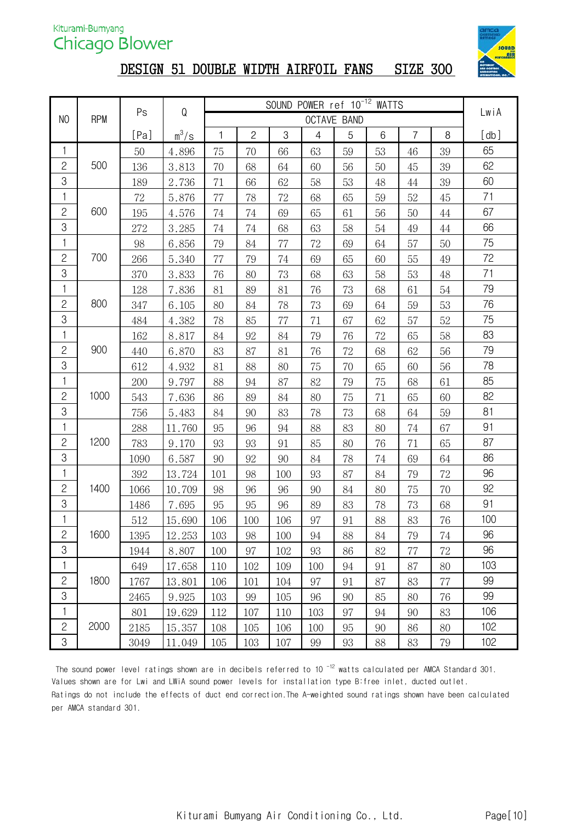

# DESIGN 51 DOUBLE WIDTH AIRFOIL FANS SIZE 300

|                |            | Ps     | ${\sf Q}$ |     |              | SOUND POWER ref 10 <sup>-12</sup> WATTS |                |                    |    |                |        |      |
|----------------|------------|--------|-----------|-----|--------------|-----------------------------------------|----------------|--------------------|----|----------------|--------|------|
| N <sub>O</sub> | <b>RPM</b> |        |           |     |              |                                         |                | <b>OCTAVE BAND</b> |    |                |        | LwiA |
|                |            | [Pa]   | $m^3/s$   | 1   | $\mathbf{2}$ | 3                                       | $\overline{4}$ | 5                  | 6  | $\overline{7}$ | 8      | [db] |
| 1              |            | 50     | 4.896     | 75  | 70           | 66                                      | 63             | 59                 | 53 | 46             | 39     | 65   |
| $\overline{c}$ | 500        | 136    | 3.813     | 70  | 68           | 64                                      | 60             | 56                 | 50 | 45             | 39     | 62   |
| 3              |            | 189    | 2.736     | 71  | 66           | 62                                      | 58             | 53                 | 48 | 44             | 39     | 60   |
| 1              |            | $72\,$ | 5.876     | 77  | 78           | $72\,$                                  | 68             | 65                 | 59 | 52             | 45     | 71   |
| $\overline{c}$ | 600        | 195    | 4.576     | 74  | 74           | 69                                      | 65             | 61                 | 56 | 50             | $44\,$ | 67   |
| 3              |            | 272    | 3.285     | 74  | 74           | 68                                      | 63             | 58                 | 54 | 49             | 44     | 66   |
| 1              |            | 98     | 6.856     | 79  | 84           | 77                                      | 72             | 69                 | 64 | 57             | 50     | 75   |
| $\mathbf{S}$   | 700        | 266    | 5.340     | 77  | 79           | 74                                      | 69             | 65                 | 60 | 55             | 49     | 72   |
| 3              |            | 370    | 3.833     | 76  | 80           | 73                                      | 68             | 63                 | 58 | 53             | 48     | 71   |
| 1              |            | 128    | 7.836     | 81  | 89           | 81                                      | 76             | 73                 | 68 | 61             | 54     | 79   |
| $\overline{c}$ | 800        | 347    | 6.105     | 80  | 84           | 78                                      | 73             | 69                 | 64 | 59             | 53     | 76   |
| $\mbox{3}$     |            | 484    | 4.382     | 78  | 85           | 77                                      | 71             | 67                 | 62 | 57             | 52     | 75   |
| 1              |            | 162    | 8.817     | 84  | 92           | 84                                      | 79             | 76                 | 72 | 65             | 58     | 83   |
| $\overline{c}$ | 900        | 440    | 6.870     | 83  | 87           | 81                                      | 76             | 72                 | 68 | 62             | 56     | 79   |
| 3              |            | 612    | 4.932     | 81  | 88           | 80                                      | 75             | 70                 | 65 | 60             | 56     | 78   |
| 1              |            | 200    | 9.797     | 88  | 94           | 87                                      | 82             | 79                 | 75 | 68             | 61     | 85   |
| $\mathbf{2}$   | 1000       | 543    | 7.636     | 86  | 89           | 84                                      | 80             | 75                 | 71 | 65             | 60     | 82   |
| 3              |            | 756    | 5.483     | 84  | 90           | 83                                      | 78             | 73                 | 68 | 64             | 59     | 81   |
| $\mathbf{1}$   |            | 288    | 11.760    | 95  | 96           | 94                                      | 88             | 83                 | 80 | 74             | 67     | 91   |
| $\mathbf{2}$   | 1200       | 783    | 9.170     | 93  | 93           | 91                                      | 85             | 80                 | 76 | 71             | 65     | 87   |
| 3              |            | 1090   | 6.587     | 90  | 92           | 90                                      | 84             | 78                 | 74 | 69             | 64     | 86   |
| 1              |            | 392    | 13.724    | 101 | 98           | 100                                     | 93             | 87                 | 84 | 79             | 72     | 96   |
| $\overline{c}$ | 1400       | 1066   | 10.709    | 98  | 96           | 96                                      | 90             | 84                 | 80 | 75             | 70     | 92   |
| 3              |            | 1486   | 7.695     | 95  | 95           | 96                                      | 89             | 83                 | 78 | 73             | 68     | 91   |
| 1              |            | 512    | 15.690    | 106 | 100          | 106                                     | 97             | 91                 | 88 | 83             | 76     | 100  |
| $\mathbf{2}$   | 1600       | 1395   | 12.253    | 103 | 98           | 100                                     | 94             | 88                 | 84 | 79             | 74     | 96   |
| 3              |            | 1944   | 8.807     | 100 | 97           | 102                                     | 93             | 86                 | 82 | 77             | 72     | 96   |
| 1              |            | 649    | 17.658    | 110 | 102          | 109                                     | 100            | 94                 | 91 | 87             | 80     | 103  |
| $\overline{c}$ | 1800       | 1767   | 13.801    | 106 | 101          | 104                                     | 97             | 91                 | 87 | 83             | 77     | 99   |
| $\rm 3$        |            | 2465   | 9.925     | 103 | 99           | 105                                     | 96             | 90                 | 85 | 80             | 76     | 99   |
| 1              |            | 801    | 19.629    | 112 | 107          | 110                                     | 103            | 97                 | 94 | 90             | 83     | 106  |
| $\mathbf{2}$   | 2000       | 2185   | 15.357    | 108 | 105          | 106                                     | 100            | 95                 | 90 | 86             | 80     | 102  |
| $\,3$          |            | 3049   | 11.049    | 105 | 103          | 107                                     | 99             | 93                 | 88 | 83             | 79     | 102  |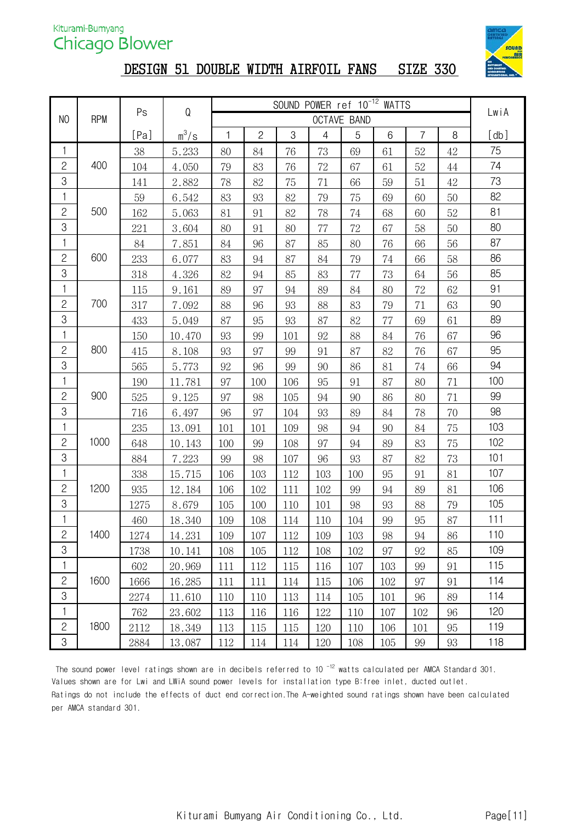

#### DESIGN 51 DOUBLE WIDTH AIRFOIL FANS SIZE 330

| SOUND POWER ref 10 <sup>-12</sup> WATTS<br>${\mathsf Q}$<br>Ps |            |      |         |     |                |     |                |             | LwiA |                |        |            |
|----------------------------------------------------------------|------------|------|---------|-----|----------------|-----|----------------|-------------|------|----------------|--------|------------|
| N <sub>0</sub>                                                 | <b>RPM</b> |      |         |     |                |     |                | OCTAVE BAND |      |                |        |            |
|                                                                |            | [Pa] | $m^3/s$ | 1   | $\overline{2}$ | 3   | $\overline{4}$ | 5           | 6    | $\overline{7}$ | 8      | $[\,db\,]$ |
| 1                                                              |            | 38   | 5.233   | 80  | 84             | 76  | 73             | 69          | 61   | 52             | 42     | 75         |
| $\mathbf{2}$                                                   | 400        | 104  | 4.050   | 79  | 83             | 76  | 72             | 67          | 61   | 52             | $44\,$ | 74         |
| 3                                                              |            | 141  | 2.882   | 78  | 82             | 75  | 71             | 66          | 59   | 51             | $42\,$ | 73         |
| 1                                                              |            | 59   | 6.542   | 83  | 93             | 82  | 79             | 75          | 69   | 60             | 50     | 82         |
| $\mathbf{S}$                                                   | 500        | 162  | 5.063   | 81  | 91             | 82  | 78             | 74          | 68   | 60             | 52     | 81         |
| 3                                                              |            | 221  | 3.604   | 80  | 91             | 80  | 77             | 72          | 67   | 58             | 50     | 80         |
| 1                                                              |            | 84   | 7.851   | 84  | 96             | 87  | 85             | 80          | 76   | 66             | 56     | 87         |
| $\mathbf{2}$                                                   | 600        | 233  | 6.077   | 83  | 94             | 87  | 84             | 79          | 74   | 66             | 58     | 86         |
| $\mbox{3}$                                                     |            | 318  | 4.326   | 82  | 94             | 85  | 83             | 77          | 73   | 64             | 56     | 85         |
| 1                                                              |            | 115  | 9.161   | 89  | 97             | 94  | 89             | 84          | 80   | 72             | 62     | 91         |
| $\overline{c}$                                                 | 700        | 317  | 7.092   | 88  | 96             | 93  | 88             | 83          | 79   | 71             | 63     | 90         |
| $\mbox{3}$                                                     |            | 433  | 5.049   | 87  | 95             | 93  | 87             | 82          | 77   | 69             | 61     | 89         |
| 1                                                              |            | 150  | 10.470  | 93  | 99             | 101 | 92             | 88          | 84   | 76             | 67     | 96         |
| $\mathbf{2}$                                                   | 800        | 415  | 8.108   | 93  | 97             | 99  | 91             | 87          | 82   | 76             | 67     | 95         |
| $\mbox{3}$                                                     |            | 565  | 5.773   | 92  | 96             | 99  | 90             | 86          | 81   | 74             | 66     | 94         |
| 1                                                              |            | 190  | 11.781  | 97  | 100            | 106 | 95             | 91          | 87   | 80             | 71     | 100        |
| $\mathbf{2}$                                                   | 900        | 525  | 9.125   | 97  | 98             | 105 | 94             | 90          | 86   | 80             | 71     | 99         |
| 3                                                              |            | 716  | 6.497   | 96  | 97             | 104 | 93             | 89          | 84   | 78             | 70     | 98         |
| 1                                                              |            | 235  | 13.091  | 101 | 101            | 109 | 98             | 94          | 90   | 84             | 75     | 103        |
| $\mathbf{2}$                                                   | 1000       | 648  | 10.143  | 100 | 99             | 108 | 97             | 94          | 89   | 83             | 75     | 102        |
| $\mbox{3}$                                                     |            | 884  | 7.223   | 99  | 98             | 107 | 96             | 93          | 87   | 82             | 73     | 101        |
| 1                                                              |            | 338  | 15.715  | 106 | 103            | 112 | 103            | 100         | 95   | 91             | 81     | 107        |
| $\overline{c}$                                                 | 1200       | 935  | 12.184  | 106 | 102            | 111 | 102            | 99          | 94   | 89             | 81     | 106        |
| 3                                                              |            | 1275 | 8.679   | 105 | 100            | 110 | 101            | 98          | 93   | 88             | 79     | 105        |
| 1                                                              |            | 460  | 18.340  | 109 | 108            | 114 | 110            | 104         | 99   | 95             | 87     | 111        |
| $\mathbf{2}$                                                   | 1400       | 1274 | 14.231  | 109 | 107            | 112 | 109            | 103         | 98   | 94             | 86     | 110        |
| 3                                                              |            | 1738 | 10.141  | 108 | 105            | 112 | 108            | 102         | 97   | 92             | 85     | 109        |
| 1                                                              |            | 602  | 20.969  | 111 | 112            | 115 | 116            | 107         | 103  | 99             | 91     | 115        |
| $\mathbf{2}$                                                   | 1600       | 1666 | 16.285  | 111 | 111            | 114 | 115            | 106         | 102  | 97             | 91     | 114        |
| $\mbox{3}$                                                     |            | 2274 | 11.610  | 110 | 110            | 113 | 114            | 105         | 101  | 96             | 89     | 114        |
| 1                                                              |            | 762  | 23.602  | 113 | 116            | 116 | 122            | 110         | 107  | 102            | 96     | 120        |
| $\mathbf{2}$                                                   | 1800       | 2112 | 18.349  | 113 | 115            | 115 | 120            | 110         | 106  | 101            | 95     | 119        |
| 3                                                              |            | 2884 | 13.087  | 112 | 114            | 114 | 120            | 108         | 105  | 99             | 93     | 118        |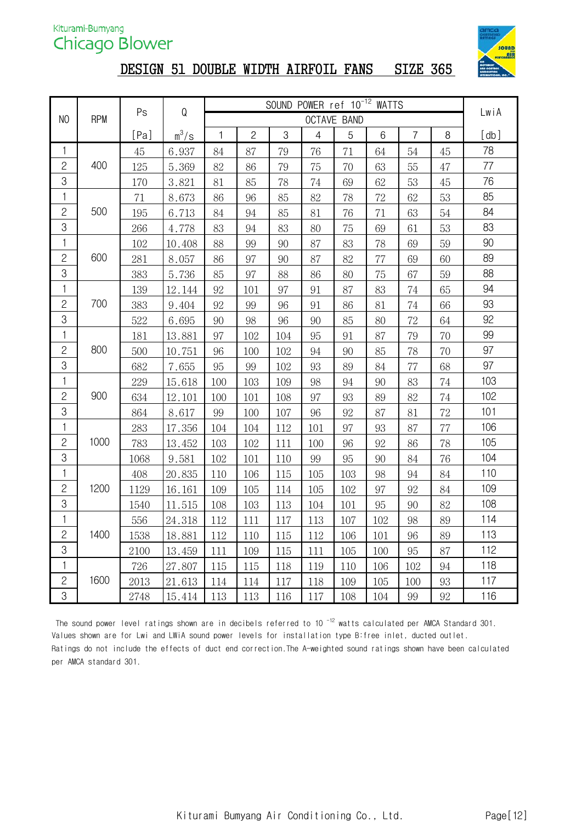

# DESIGN 51 DOUBLE WIDTH AIRFOIL FANS SIZE 365

|                           |            |      |         | SOUND POWER ref 10 <sup>-12</sup> WATTS<br>Q |                |     |                |             |     |                |        |      |
|---------------------------|------------|------|---------|----------------------------------------------|----------------|-----|----------------|-------------|-----|----------------|--------|------|
| N <sub>0</sub>            | <b>RPM</b> | Ps   |         |                                              |                |     |                | OCTAVE BAND |     |                |        | LwiA |
|                           |            | [Pa] | $m^3/s$ | 1                                            | $\overline{c}$ | 3   | $\overline{4}$ | 5           | 6   | $\overline{7}$ | 8      | [db] |
| 1                         |            | 45   | 6.937   | 84                                           | 87             | 79  | 76             | 71          | 64  | 54             | 45     | 78   |
| $\overline{c}$            | 400        | 125  | 5.369   | 82                                           | 86             | 79  | 75             | 70          | 63  | 55             | 47     | 77   |
| $\,3$                     |            | 170  | 3.821   | 81                                           | 85             | 78  | 74             | 69          | 62  | 53             | 45     | 76   |
| $\mathbf{1}$              |            | 71   | 8.673   | 86                                           | 96             | 85  | 82             | 78          | 72  | 62             | 53     | 85   |
| $\overline{c}$            | 500        | 195  | 6.713   | 84                                           | 94             | 85  | 81             | 76          | 71  | 63             | 54     | 84   |
| 3                         |            | 266  | 4.778   | 83                                           | 94             | 83  | 80             | 75          | 69  | 61             | 53     | 83   |
| 1                         |            | 102  | 10.408  | 88                                           | 99             | 90  | 87             | 83          | 78  | 69             | 59     | 90   |
| $\mathbf{S}$              | 600        | 281  | 8.057   | 86                                           | 97             | 90  | 87             | 82          | 77  | 69             | 60     | 89   |
| 3                         |            | 383  | 5.736   | 85                                           | 97             | 88  | 86             | 80          | 75  | 67             | 59     | 88   |
| 1                         |            | 139  | 12.144  | 92                                           | 101            | 97  | 91             | 87          | 83  | 74             | 65     | 94   |
| $\overline{c}$            | 700        | 383  | 9.404   | 92                                           | 99             | 96  | 91             | 86          | 81  | 74             | 66     | 93   |
| $\mathfrak{S}$            |            | 522  | 6.695   | 90                                           | 98             | 96  | 90             | 85          | 80  | 72             | 64     | 92   |
| $\mathbf{1}$              |            | 181  | 13.881  | 97                                           | 102            | 104 | 95             | 91          | 87  | 79             | 70     | 99   |
| $\mathbf{2}$              | 800        | 500  | 10.751  | 96                                           | 100            | 102 | 94             | 90          | 85  | 78             | 70     | 97   |
| 3                         |            | 682  | 7.655   | 95                                           | 99             | 102 | 93             | 89          | 84  | 77             | 68     | 97   |
| $\mathbf{1}$              |            | 229  | 15.618  | 100                                          | 103            | 109 | 98             | 94          | 90  | 83             | 74     | 103  |
| $\mathbf{S}$              | 900        | 634  | 12.101  | 100                                          | 101            | 108 | 97             | 93          | 89  | 82             | 74     | 102  |
| $\ensuremath{\mathsf{3}}$ |            | 864  | 8.617   | 99                                           | 100            | 107 | 96             | 92          | 87  | 81             | $72\,$ | 101  |
| 1                         |            | 283  | 17.356  | 104                                          | 104            | 112 | 101            | 97          | 93  | 87             | 77     | 106  |
| $\mathbf{2}$              | 1000       | 783  | 13.452  | 103                                          | 102            | 111 | 100            | 96          | 92  | 86             | 78     | 105  |
| $\mbox{3}$                |            | 1068 | 9.581   | 102                                          | 101            | 110 | 99             | 95          | 90  | 84             | 76     | 104  |
| 1                         |            | 408  | 20.835  | 110                                          | 106            | 115 | 105            | 103         | 98  | 94             | 84     | 110  |
| $\overline{c}$            | 1200       | 1129 | 16.161  | 109                                          | 105            | 114 | 105            | 102         | 97  | 92             | 84     | 109  |
| 3                         |            | 1540 | 11.515  | 108                                          | 103            | 113 | 104            | 101         | 95  | 90             | 82     | 108  |
| 1                         |            | 556  | 24.318  | 112                                          | 111            | 117 | 113            | 107         | 102 | 98             | 89     | 114  |
| $\mathbf{2}$              | 1400       | 1538 | 18.881  | 112                                          | 110            | 115 | 112            | 106         | 101 | 96             | 89     | 113  |
| 3                         |            | 2100 | 13.459  | 111                                          | 109            | 115 | 111            | 105         | 100 | 95             | 87     | 112  |
| $\mathbf{1}$              |            | 726  | 27.807  | 115                                          | 115            | 118 | 119            | 110         | 106 | 102            | 94     | 118  |
| $\overline{c}$            | 1600       | 2013 | 21.613  | 114                                          | 114            | 117 | 118            | 109         | 105 | 100            | 93     | 117  |
| 3                         |            | 2748 | 15.414  | 113                                          | 113            | 116 | 117            | 108         | 104 | 99             | 92     | 116  |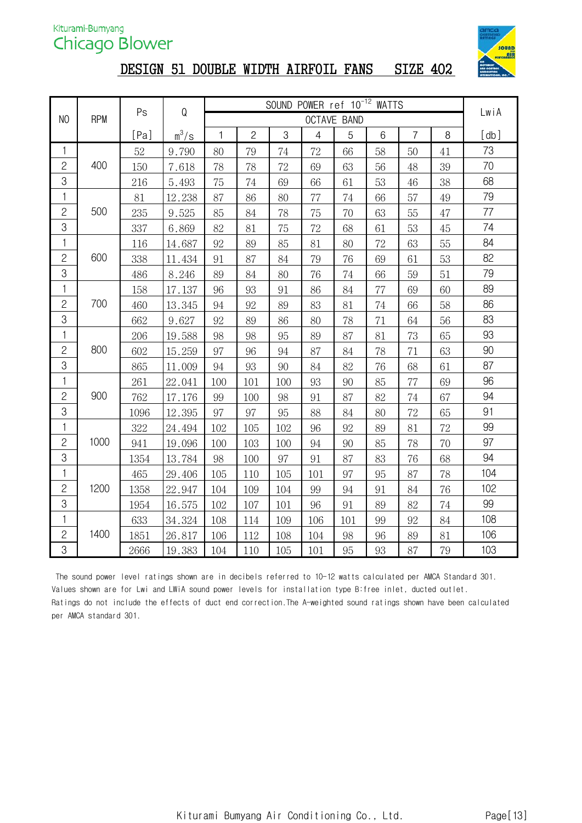

#### DESIGN 51 DOUBLE WIDTH AIRFOIL FANS SIZE 402

|                |            | Ps   | ${\mathsf Q}$ |              |                |        | SOUND POWER ref 10 <sup>-12</sup> WATTS |             |    |                |    | LwiA<br>[db] |
|----------------|------------|------|---------------|--------------|----------------|--------|-----------------------------------------|-------------|----|----------------|----|--------------|
| N <sub>O</sub> | <b>RPM</b> |      |               |              |                |        |                                         | OCTAVE BAND |    |                |    |              |
|                |            | [Pa] | $m^3/s$       | $\mathbf{1}$ | $\overline{c}$ | 3      | $\overline{4}$                          | 5           | 6  | $\overline{7}$ | 8  |              |
| 1              |            | 52   | 9.790         | 80           | 79             | 74     | 72                                      | 66          | 58 | 50             | 41 | 73           |
| $\mathbf{S}$   | 400        | 150  | 7.618         | 78           | 78             | $72\,$ | 69                                      | 63          | 56 | 48             | 39 | 70           |
| 3              |            | 216  | 5.493         | 75           | 74             | 69     | 66                                      | 61          | 53 | 46             | 38 | 68           |
| $\mathbf{1}$   |            | 81   | 12.238        | 87           | 86             | 80     | 77                                      | 74          | 66 | 57             | 49 | 79           |
| $\overline{c}$ | 500        | 235  | 9.525         | 85           | 84             | 78     | 75                                      | 70          | 63 | 55             | 47 | 77           |
| 3              |            | 337  | 6.869         | 82           | 81             | 75     | 72                                      | 68          | 61 | 53             | 45 | 74           |
| $\mathbf{1}$   |            | 116  | 14.687        | 92           | 89             | 85     | 81                                      | 80          | 72 | 63             | 55 | 84           |
| $\overline{c}$ | 600        | 338  | 11.434        | 91           | 87             | 84     | 79                                      | 76          | 69 | 61             | 53 | 82           |
| 3              |            | 486  | 8.246         | 89           | 84             | 80     | 76                                      | $74\,$      | 66 | 59             | 51 | 79           |
| 1              |            | 158  | 17.137        | 96           | 93             | 91     | 86                                      | 84          | 77 | 69             | 60 | 89           |
| $\overline{c}$ | 700        | 460  | 13.345        | 94           | 92             | 89     | 83                                      | 81          | 74 | 66             | 58 | 86           |
| 3              |            | 662  | 9.627         | 92           | 89             | 86     | 80                                      | 78          | 71 | 64             | 56 | 83           |
| $\mathbf{1}$   |            | 206  | 19.588        | 98           | 98             | 95     | 89                                      | 87          | 81 | 73             | 65 | 93           |
| $\overline{c}$ | 800        | 602  | 15.259        | 97           | 96             | 94     | 87                                      | 84          | 78 | 71             | 63 | 90           |
| 3              |            | 865  | 11.009        | 94           | 93             | 90     | 84                                      | 82          | 76 | 68             | 61 | 87           |
| 1              |            | 261  | 22.041        | 100          | 101            | 100    | 93                                      | 90          | 85 | 77             | 69 | 96           |
| $\overline{c}$ | 900        | 762  | 17.176        | 99           | 100            | 98     | 91                                      | 87          | 82 | 74             | 67 | 94           |
| 3              |            | 1096 | 12.395        | 97           | 97             | 95     | 88                                      | 84          | 80 | 72             | 65 | 91           |
| 1              |            | 322  | 24.494        | 102          | 105            | 102    | 96                                      | 92          | 89 | 81             | 72 | 99           |
| $\mathbf{S}$   | 1000       | 941  | 19.096        | 100          | 103            | 100    | 94                                      | 90          | 85 | 78             | 70 | 97           |
| 3              |            | 1354 | 13.784        | 98           | 100            | 97     | 91                                      | 87          | 83 | 76             | 68 | 94           |
| 1              |            | 465  | 29.406        | 105          | 110            | 105    | 101                                     | 97          | 95 | 87             | 78 | 104          |
| $\mathbf{2}$   | 1200       | 1358 | 22.947        | 104          | 109            | 104    | 99                                      | 94          | 91 | 84             | 76 | 102          |
| $\mbox{3}$     |            | 1954 | 16.575        | 102          | 107            | 101    | 96                                      | 91          | 89 | 82             | 74 | 99           |
| 1              |            | 633  | 34.324        | 108          | 114            | 109    | 106                                     | 101         | 99 | 92             | 84 | 108          |
| $\overline{c}$ | 1400       | 1851 | 26.817        | 106          | 112            | 108    | 104                                     | 98          | 96 | 89             | 81 | 106          |
| 3              |            | 2666 | 19.383        | 104          | 110            | 105    | 101                                     | 95          | 93 | 87             | 79 | 103          |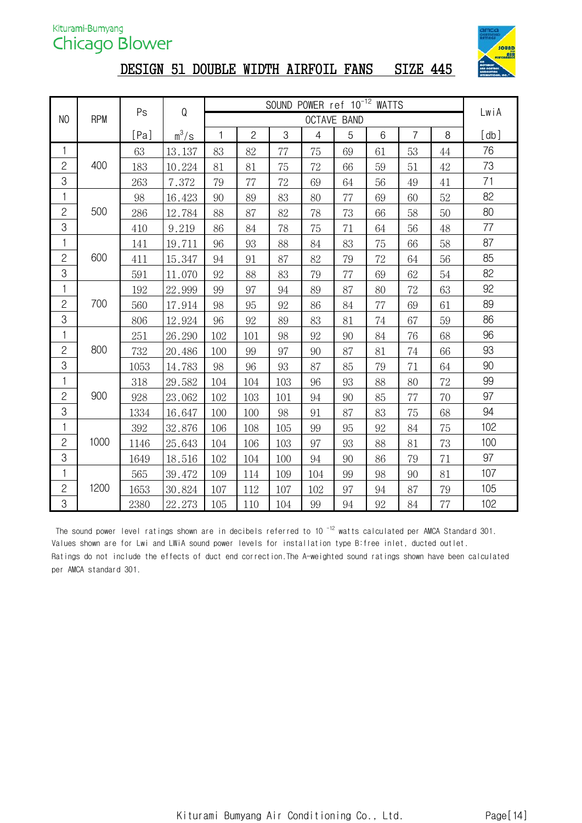

# DESIGN 51 DOUBLE WIDTH AIRFOIL FANS SIZE 445

| SOUND POWER ref 10 <sup>-12</sup> WATTS<br>Q<br>Ps |            |      |         |     |                |     |                |                    |    |                |        | LwiA |
|----------------------------------------------------|------------|------|---------|-----|----------------|-----|----------------|--------------------|----|----------------|--------|------|
| N <sub>0</sub>                                     | <b>RPM</b> |      |         |     |                |     |                | <b>OCTAVE BAND</b> |    |                |        |      |
|                                                    |            | [Pa] | $m^3/s$ | 1   | $\overline{c}$ | 3   | $\overline{4}$ | 5                  | 6  | $\overline{7}$ | 8      | [db] |
| 1                                                  |            | 63   | 13.137  | 83  | 82             | 77  | 75             | 69                 | 61 | 53             | 44     | 76   |
| $\mathbf{S}$                                       | 400        | 183  | 10.224  | 81  | 81             | 75  | 72             | 66                 | 59 | 51             | $42\,$ | 73   |
| 3                                                  |            | 263  | 7.372   | 79  | 77             | 72  | 69             | 64                 | 56 | 49             | 41     | 71   |
| $\mathbf{1}$                                       |            | 98   | 16.423  | 90  | 89             | 83  | 80             | 77                 | 69 | 60             | 52     | 82   |
| $\overline{c}$                                     | 500        | 286  | 12.784  | 88  | 87             | 82  | 78             | 73                 | 66 | 58             | 50     | 80   |
| 3                                                  |            | 410  | 9.219   | 86  | 84             | 78  | 75             | 71                 | 64 | 56             | 48     | 77   |
| $\mathbf{1}$                                       |            | 141  | 19.711  | 96  | 93             | 88  | 84             | 83                 | 75 | 66             | 58     | 87   |
| $\overline{c}$                                     | 600        | 411  | 15.347  | 94  | 91             | 87  | 82             | 79                 | 72 | 64             | 56     | 85   |
| 3                                                  |            | 591  | 11.070  | 92  | 88             | 83  | 79             | 77                 | 69 | 62             | 54     | 82   |
| $\mathbf{1}$                                       |            | 192  | 22.999  | 99  | 97             | 94  | 89             | 87                 | 80 | 72             | 63     | 92   |
| $\mathbf{2}$                                       | 700        | 560  | 17.914  | 98  | 95             | 92  | 86             | 84                 | 77 | 69             | 61     | 89   |
| 3                                                  |            | 806  | 12.924  | 96  | 92             | 89  | 83             | 81                 | 74 | 67             | 59     | 86   |
| $\mathbf{1}$                                       |            | 251  | 26.290  | 102 | 101            | 98  | 92             | 90                 | 84 | 76             | 68     | 96   |
| $\mathbf{2}$                                       | 800        | 732  | 20.486  | 100 | 99             | 97  | 90             | 87                 | 81 | 74             | 66     | 93   |
| 3                                                  |            | 1053 | 14.783  | 98  | 96             | 93  | 87             | 85                 | 79 | 71             | 64     | 90   |
| 1                                                  |            | 318  | 29.582  | 104 | 104            | 103 | 96             | 93                 | 88 | 80             | $72\,$ | 99   |
| $\overline{c}$                                     | 900        | 928  | 23.062  | 102 | 103            | 101 | 94             | 90                 | 85 | 77             | 70     | 97   |
| 3                                                  |            | 1334 | 16.647  | 100 | 100            | 98  | 91             | 87                 | 83 | 75             | 68     | 94   |
| 1                                                  |            | 392  | 32.876  | 106 | 108            | 105 | 99             | 95                 | 92 | 84             | 75     | 102  |
| $\overline{c}$                                     | 1000       | 1146 | 25.643  | 104 | 106            | 103 | 97             | 93                 | 88 | 81             | 73     | 100  |
| 3                                                  |            | 1649 | 18.516  | 102 | 104            | 100 | 94             | 90                 | 86 | 79             | 71     | 97   |
| 1                                                  |            | 565  | 39.472  | 109 | 114            | 109 | 104            | 99                 | 98 | 90             | 81     | 107  |
| $\overline{c}$                                     | 1200       | 1653 | 30.824  | 107 | 112            | 107 | 102            | 97                 | 94 | 87             | 79     | 105  |
| $\,3$                                              |            | 2380 | 22.273  | 105 | 110            | 104 | 99             | 94                 | 92 | 84             | 77     | 102  |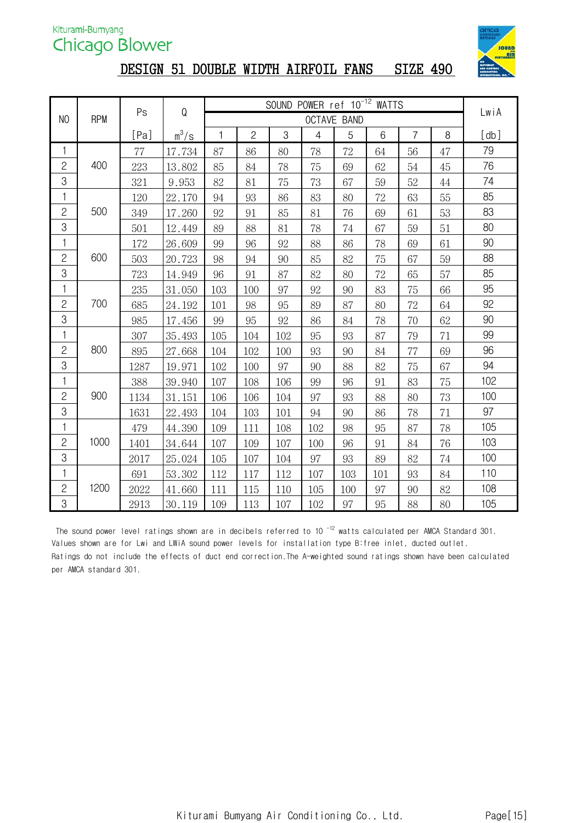

# DESIGN 51 DOUBLE WIDTH AIRFOIL FANS SIZE 490

|                |            | Ps   | Q       |     |                |     |                | SOUND POWER ref 10 <sup>-12</sup> WATTS |     |                |    | LwiA |
|----------------|------------|------|---------|-----|----------------|-----|----------------|-----------------------------------------|-----|----------------|----|------|
| N <sub>0</sub> | <b>RPM</b> |      |         |     |                |     |                | <b>OCTAVE BAND</b>                      |     |                |    |      |
|                |            | [Pa] | $m^3/s$ | 1   | $\overline{c}$ | 3   | $\overline{4}$ | 5                                       | 6   | $\overline{7}$ | 8  | [db] |
| 1              |            | 77   | 17.734  | 87  | 86             | 80  | 78             | 72                                      | 64  | 56             | 47 | 79   |
| $\mathbf{S}$   | 400        | 223  | 13.802  | 85  | 84             | 78  | 75             | 69                                      | 62  | 54             | 45 | 76   |
| 3              |            | 321  | 9.953   | 82  | 81             | 75  | 73             | 67                                      | 59  | 52             | 44 | 74   |
| 1              |            | 120  | 22.170  | 94  | 93             | 86  | 83             | 80                                      | 72  | 63             | 55 | 85   |
| $\overline{c}$ | 500        | 349  | 17.260  | 92  | 91             | 85  | 81             | 76                                      | 69  | 61             | 53 | 83   |
| 3              |            | 501  | 12.449  | 89  | 88             | 81  | 78             | 74                                      | 67  | 59             | 51 | 80   |
| 1              |            | 172  | 26.609  | 99  | 96             | 92  | 88             | 86                                      | 78  | 69             | 61 | 90   |
| $\overline{c}$ | 600        | 503  | 20.723  | 98  | 94             | 90  | 85             | 82                                      | 75  | 67             | 59 | 88   |
| 3              |            | 723  | 14.949  | 96  | 91             | 87  | 82             | 80                                      | 72  | 65             | 57 | 85   |
| $\mathbf{1}$   |            | 235  | 31.050  | 103 | 100            | 97  | 92             | 90                                      | 83  | 75             | 66 | 95   |
| $\mathbf{2}$   | 700        | 685  | 24.192  | 101 | 98             | 95  | 89             | 87                                      | 80  | 72             | 64 | 92   |
| 3              |            | 985  | 17.456  | 99  | 95             | 92  | 86             | 84                                      | 78  | 70             | 62 | 90   |
| $\mathbf{1}$   |            | 307  | 35.493  | 105 | 104            | 102 | 95             | 93                                      | 87  | 79             | 71 | 99   |
| $\mathbf{2}$   | 800        | 895  | 27.668  | 104 | 102            | 100 | 93             | 90                                      | 84  | 77             | 69 | 96   |
| 3              |            | 1287 | 19.971  | 102 | 100            | 97  | 90             | 88                                      | 82  | 75             | 67 | 94   |
| 1              |            | 388  | 39.940  | 107 | 108            | 106 | 99             | 96                                      | 91  | 83             | 75 | 102  |
| $\overline{c}$ | 900        | 1134 | 31.151  | 106 | 106            | 104 | 97             | 93                                      | 88  | 80             | 73 | 100  |
| 3              |            | 1631 | 22.493  | 104 | 103            | 101 | 94             | 90                                      | 86  | 78             | 71 | 97   |
| 1              |            | 479  | 44.390  | 109 | 111            | 108 | 102            | 98                                      | 95  | 87             | 78 | 105  |
| $\overline{c}$ | 1000       | 1401 | 34.644  | 107 | 109            | 107 | 100            | 96                                      | 91  | 84             | 76 | 103  |
| 3              |            | 2017 | 25.024  | 105 | 107            | 104 | 97             | 93                                      | 89  | 82             | 74 | 100  |
| 1              |            | 691  | 53.302  | 112 | 117            | 112 | 107            | 103                                     | 101 | 93             | 84 | 110  |
| $\overline{c}$ | 1200       | 2022 | 41.660  | 111 | 115            | 110 | 105            | 100                                     | 97  | 90             | 82 | 108  |
| $\,3$          |            | 2913 | 30.119  | 109 | 113            | 107 | 102            | 97                                      | 95  | 88             | 80 | 105  |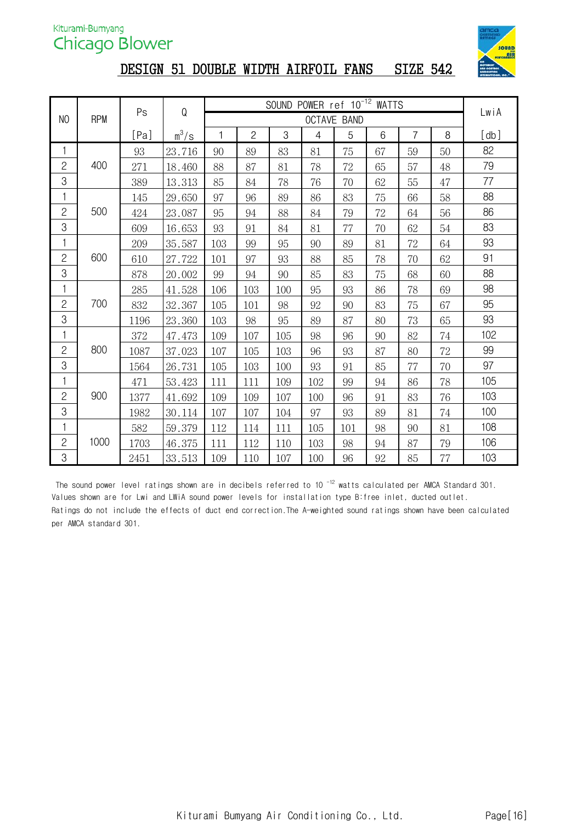

# DESIGN 51 DOUBLE WIDTH AIRFOIL FANS SIZE 542

|                |            | Ps   | ${\mathsf Q}$ |     |                | SOUND | POWER ref 10 <sup>-12</sup> WATTS |                    |    |                |    |                                                                                                                                     |
|----------------|------------|------|---------------|-----|----------------|-------|-----------------------------------|--------------------|----|----------------|----|-------------------------------------------------------------------------------------------------------------------------------------|
| N <sub>0</sub> | <b>RPM</b> |      |               |     |                |       |                                   | <b>OCTAVE BAND</b> |    |                |    | LwiA<br>[db]<br>82<br>79<br>77<br>88<br>86<br>83<br>93<br>91<br>88<br>98<br>95<br>93<br>102<br>99<br>97<br>105<br>103<br>100<br>108 |
|                |            | [Pa] | $m^3/s$       | 1   | $\overline{c}$ | 3     | 4                                 | 5                  | 6  | $\overline{7}$ | 8  |                                                                                                                                     |
| 1              |            | 93   | 23.716        | 90  | 89             | 83    | 81                                | 75                 | 67 | 59             | 50 |                                                                                                                                     |
| $\overline{c}$ | 400        | 271  | 18.460        | 88  | 87             | 81    | 78                                | $72\,$             | 65 | 57             | 48 |                                                                                                                                     |
| 3              |            | 389  | 13.313        | 85  | 84             | 78    | 76                                | 70                 | 62 | 55             | 47 |                                                                                                                                     |
| 1              |            | 145  | 29.650        | 97  | 96             | 89    | 86                                | 83                 | 75 | 66             | 58 |                                                                                                                                     |
| $\overline{c}$ | 500        | 424  | 23.087        | 95  | 94             | 88    | 84                                | 79                 | 72 | 64             | 56 |                                                                                                                                     |
| 3              |            | 609  | 16.653        | 93  | 91             | 84    | 81                                | $77\,$             | 70 | 62             | 54 |                                                                                                                                     |
| 1              |            | 209  | 35.587        | 103 | 99             | 95    | 90                                | 89                 | 81 | $72\,$         | 64 |                                                                                                                                     |
| $\mathbf{2}$   | 600        | 610  | 27.722        | 101 | 97             | 93    | 88                                | 85                 | 78 | 70             | 62 |                                                                                                                                     |
| 3              |            | 878  | 20.002        | 99  | 94             | 90    | 85                                | 83                 | 75 | 68             | 60 |                                                                                                                                     |
| 1              |            | 285  | 41.528        | 106 | 103            | 100   | 95                                | 93                 | 86 | 78             | 69 |                                                                                                                                     |
| $\overline{c}$ | 700        | 832  | 32.367        | 105 | 101            | 98    | 92                                | 90                 | 83 | 75             | 67 |                                                                                                                                     |
| 3              |            | 1196 | 23.360        | 103 | 98             | 95    | 89                                | 87                 | 80 | 73             | 65 |                                                                                                                                     |
| 1              |            | 372  | 47.473        | 109 | 107            | 105   | 98                                | 96                 | 90 | 82             | 74 |                                                                                                                                     |
| $\overline{c}$ | 800        | 1087 | 37.023        | 107 | 105            | 103   | 96                                | 93                 | 87 | 80             | 72 |                                                                                                                                     |
| 3              |            | 1564 | 26.731        | 105 | 103            | 100   | 93                                | 91                 | 85 | $77\,$         | 70 |                                                                                                                                     |
| 1              |            | 471  | 53.423        | 111 | 111            | 109   | 102                               | 99                 | 94 | 86             | 78 |                                                                                                                                     |
| $\overline{c}$ | 900        | 1377 | 41.692        | 109 | 109            | 107   | 100                               | 96                 | 91 | 83             | 76 |                                                                                                                                     |
| 3              |            | 1982 | 30.114        | 107 | 107            | 104   | 97                                | 93                 | 89 | 81             | 74 |                                                                                                                                     |
| 1              |            | 582  | 59.379        | 112 | 114            | 111   | 105                               | 101                | 98 | 90             | 81 |                                                                                                                                     |
| $\overline{c}$ | 1000       | 1703 | 46.375        | 111 | 112            | 110   | 103                               | 98                 | 94 | 87             | 79 | 106                                                                                                                                 |
| 3              |            | 2451 | 33.513        | 109 | 110            | 107   | 100                               | 96                 | 92 | 85             | 77 | 103                                                                                                                                 |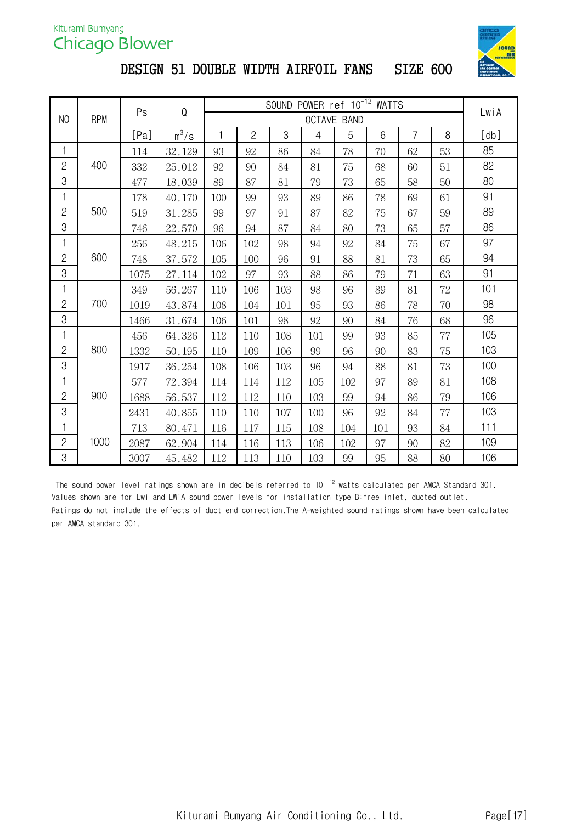

# DESIGN 51 DOUBLE WIDTH AIRFOIL FANS SIZE 600

|                |            | Ps   | ${\mathsf Q}$ |     |                |     | SOUND POWER ref 10 <sup>-12</sup> WATTS |                    |     |                |    | LwiA<br>[db]<br>85<br>82<br>80<br>91<br>89<br>86<br>97<br>94<br>91<br>101<br>98 |  |  |
|----------------|------------|------|---------------|-----|----------------|-----|-----------------------------------------|--------------------|-----|----------------|----|---------------------------------------------------------------------------------|--|--|
| N <sub>0</sub> | <b>RPM</b> |      |               |     |                |     |                                         | <b>OCTAVE BAND</b> |     |                |    |                                                                                 |  |  |
|                |            | [Pa] | $m^3/s$       | 1   | $\overline{c}$ | 3   | 4                                       | 5                  | 6   | $\overline{7}$ | 8  |                                                                                 |  |  |
| 1              |            | 114  | 32.129        | 93  | 92             | 86  | 84                                      | 78                 | 70  | 62             | 53 |                                                                                 |  |  |
| $\overline{c}$ | 400        | 332  | 25.012        | 92  | 90             | 84  | 81                                      | 75                 | 68  | 60             | 51 |                                                                                 |  |  |
| 3              |            | 477  | 18.039        | 89  | 87             | 81  | 79                                      | 73                 | 65  | 58             | 50 |                                                                                 |  |  |
| 1              |            | 178  | 40.170        | 100 | 99             | 93  | 89                                      | 86                 | 78  | 69             | 61 |                                                                                 |  |  |
| $\mathbf{2}$   | 500        | 519  | 31.285        | 99  | 97             | 91  | 87                                      | 82                 | 75  | 67             | 59 |                                                                                 |  |  |
| 3              |            | 746  | 22.570        | 96  | 94             | 87  | 84                                      | 80                 | 73  | 65             | 57 |                                                                                 |  |  |
| 1              |            | 256  | 48.215        | 106 | 102            | 98  | 94                                      | 92                 | 84  | 75             | 67 |                                                                                 |  |  |
| $\overline{c}$ | 600        | 748  | 37.572        | 105 | 100            | 96  | 91                                      | 88                 | 81  | 73             | 65 |                                                                                 |  |  |
| 3              |            | 1075 | 27.114        | 102 | 97             | 93  | 88                                      | 86                 | 79  | 71             | 63 |                                                                                 |  |  |
| 1              |            | 349  | 56.267        | 110 | 106            | 103 | 98                                      | 96                 | 89  | 81             | 72 |                                                                                 |  |  |
| $\overline{c}$ | 700        | 1019 | 43.874        | 108 | 104            | 101 | 95                                      | 93                 | 86  | 78             | 70 |                                                                                 |  |  |
| 3              |            | 1466 | 31.674        | 106 | 101            | 98  | 92                                      | 90                 | 84  | 76             | 68 | 96                                                                              |  |  |
| 1              |            | 456  | 64.326        | 112 | 110            | 108 | 101                                     | 99                 | 93  | 85             | 77 | 105                                                                             |  |  |
| $\mathbf{2}$   | 800        | 1332 | 50.195        | 110 | 109            | 106 | 99                                      | 96                 | 90  | 83             | 75 | 103                                                                             |  |  |
| 3              |            | 1917 | 36.254        | 108 | 106            | 103 | 96                                      | 94                 | 88  | 81             | 73 | 100                                                                             |  |  |
| 1              |            | 577  | 72.394        | 114 | 114            | 112 | 105                                     | 102                | 97  | 89             | 81 | 108                                                                             |  |  |
| $\mathbf{S}$   | 900        | 1688 | 56.537        | 112 | 112            | 110 | 103                                     | 99                 | 94  | 86             | 79 | 106                                                                             |  |  |
| 3              |            | 2431 | 40.855        | 110 | 110            | 107 | 100                                     | 96                 | 92  | 84             | 77 | 103                                                                             |  |  |
| 1              |            | 713  | 80.471        | 116 | 117            | 115 | 108                                     | 104                | 101 | 93             | 84 | 111                                                                             |  |  |
| $\overline{c}$ | 1000       | 2087 | 62.904        | 114 | 116            | 113 | 106                                     | 102                | 97  | 90             | 82 | 109                                                                             |  |  |
| 3              |            | 3007 | 45.482        | 112 | 113            | 110 | 103                                     | 99                 | 95  | 88             | 80 | 106                                                                             |  |  |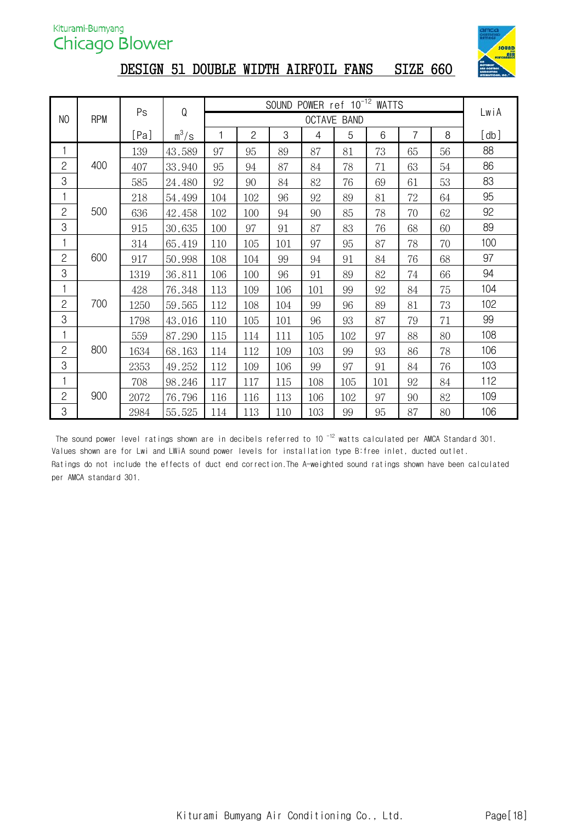

# DESIGN 51 DOUBLE WIDTH AIRFOIL FANS SIZE 660

|                |            | Ps   | Q       |     |                |     | SOUND POWER ref 10 <sup>-12</sup> WATTS |                    |     |    |    | LwiA |
|----------------|------------|------|---------|-----|----------------|-----|-----------------------------------------|--------------------|-----|----|----|------|
| NO             | <b>RPM</b> |      |         |     |                |     |                                         | <b>OCTAVE BAND</b> |     |    |    |      |
|                |            | [Pa] | $m^3/s$ |     | $\overline{c}$ | 3   | 4                                       | 5                  | 6   | 7  | 8  | [db] |
| 1              |            | 139  | 43.589  | 97  | 95             | 89  | 87                                      | 81                 | 73  | 65 | 56 | 88   |
| $\mathbf{2}$   | 400        | 407  | 33.940  | 95  | 94             | 87  | 84                                      | 78                 | 71  | 63 | 54 | 86   |
| 3              |            | 585  | 24.480  | 92  | 90             | 84  | 82                                      | 76                 | 69  | 61 | 53 | 83   |
|                |            | 218  | 54.499  | 104 | 102            | 96  | 92                                      | 89                 | 81  | 72 | 64 | 95   |
| $\mathbf{2}$   | 500        | 636  | 42.458  | 102 | 100            | 94  | 90                                      | 85                 | 78  | 70 | 62 | 92   |
| 3              |            | 915  | 30.635  | 100 | 97             | 91  | 87                                      | 83                 | 76  | 68 | 60 | 89   |
| 1              |            | 314  | 65.419  | 110 | 105            | 101 | 97                                      | 95                 | 87  | 78 | 70 | 100  |
| $\mathbf{2}$   | 600        | 917  | 50.998  | 108 | 104            | 99  | 94                                      | 91                 | 84  | 76 | 68 | 97   |
| 3              |            | 1319 | 36.811  | 106 | 100            | 96  | 91                                      | 89                 | 82  | 74 | 66 | 94   |
| 1              |            | 428  | 76.348  | 113 | 109            | 106 | 101                                     | 99                 | 92  | 84 | 75 | 104  |
| $\overline{c}$ | 700        | 1250 | 59.565  | 112 | 108            | 104 | 99                                      | 96                 | 89  | 81 | 73 | 102  |
| 3              |            | 1798 | 43.016  | 110 | 105            | 101 | 96                                      | 93                 | 87  | 79 | 71 | 99   |
|                |            | 559  | 87.290  | 115 | 114            | 111 | 105                                     | 102                | 97  | 88 | 80 | 108  |
| $\mathbf{2}$   | 800        | 1634 | 68.163  | 114 | 112            | 109 | 103                                     | 99                 | 93  | 86 | 78 | 106  |
| 3              |            | 2353 | 49.252  | 112 | 109            | 106 | 99                                      | 97                 | 91  | 84 | 76 | 103  |
|                |            | 708  | 98.246  | 117 | 117            | 115 | 108                                     | 105                | 101 | 92 | 84 | 112  |
| $\overline{c}$ | 900        | 2072 | 76.796  | 116 | 116            | 113 | 106                                     | 102                | 97  | 90 | 82 | 109  |
| 3              |            | 2984 | 55.525  | 114 | 113            | 110 | 103                                     | 99                 | 95  | 87 | 80 | 106  |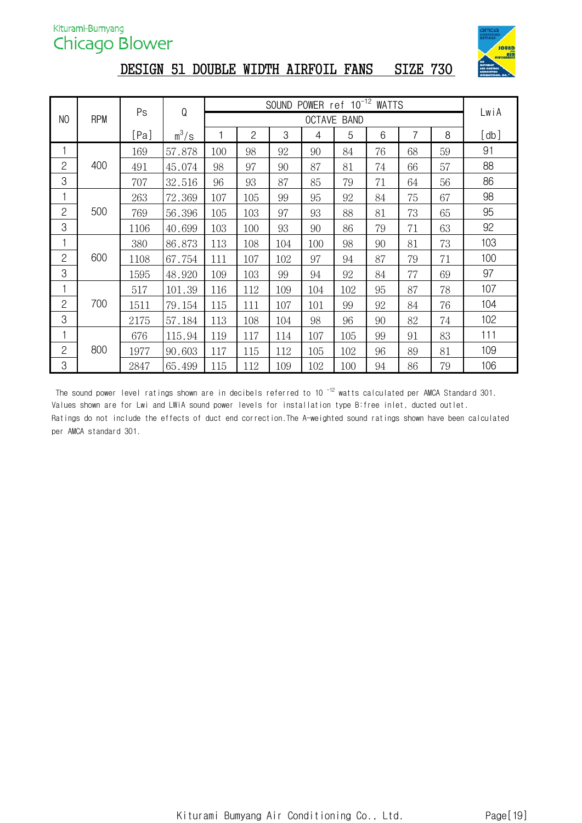

## DESIGN 51 DOUBLE WIDTH AIRFOIL FANS SIZE 730

|                |     | Ps   | Q       |     |              | <b>SOUND</b> | POWER ref 10 <sup>-12</sup> WATTS |                    |    |    |    |      |
|----------------|-----|------|---------|-----|--------------|--------------|-----------------------------------|--------------------|----|----|----|------|
| NO             | RPM |      |         |     |              |              |                                   | <b>OCTAVE BAND</b> |    |    |    | LwiA |
|                |     | [Pa] | $m^3/s$ |     | $\mathbf{2}$ | 3            | 4                                 | 5                  | 6  | 7  | 8  | [db] |
|                |     | 169  | 57.878  | 100 | 98           | 92           | 90                                | 84                 | 76 | 68 | 59 | 91   |
| $\overline{c}$ | 400 | 491  | 45.074  | 98  | 97           | 90           | 87                                | 81                 | 74 | 66 | 57 | 88   |
| 3              |     | 707  | 32.516  | 96  | 93           | 87           | 85                                | 79                 | 71 | 64 | 56 | 86   |
|                |     | 263  | 72.369  | 107 | 105          | 99           | 95                                | 92                 | 84 | 75 | 67 | 98   |
| $\mathbf{2}$   | 500 | 769  | 56.396  | 105 | 103          | 97           | 93                                | 88                 | 81 | 73 | 65 | 95   |
| 3              |     | 1106 | 40.699  | 103 | 100          | 93           | 90                                | 86                 | 79 | 71 | 63 | 92   |
|                |     | 380  | 86.873  | 113 | 108          | 104          | 100                               | 98                 | 90 | 81 | 73 | 103  |
| $\mathbf{2}$   | 600 | 1108 | 67.754  | 111 | 107          | 102          | 97                                | 94                 | 87 | 79 | 71 | 100  |
| 3              |     | 1595 | 48.920  | 109 | 103          | 99           | 94                                | 92                 | 84 | 77 | 69 | 97   |
|                |     | 517  | 101.39  | 116 | 112          | 109          | 104                               | 102                | 95 | 87 | 78 | 107  |
| $\overline{c}$ | 700 | 1511 | 79.154  | 115 | 111          | 107          | 101                               | 99                 | 92 | 84 | 76 | 104  |
| 3              |     | 2175 | 57.184  | 113 | 108          | 104          | 98                                | 96                 | 90 | 82 | 74 | 102  |
| 1              |     | 676  | 115.94  | 119 | 117          | 114          | 107                               | 105                | 99 | 91 | 83 | 111  |
| $\mathbf{2}$   | 800 | 1977 | 90.603  | 117 | 115          | 112          | 105                               | 102                | 96 | 89 | 81 | 109  |
| 3              |     | 2847 | 65.499  | 115 | 112          | 109          | 102                               | 100                | 94 | 86 | 79 | 106  |